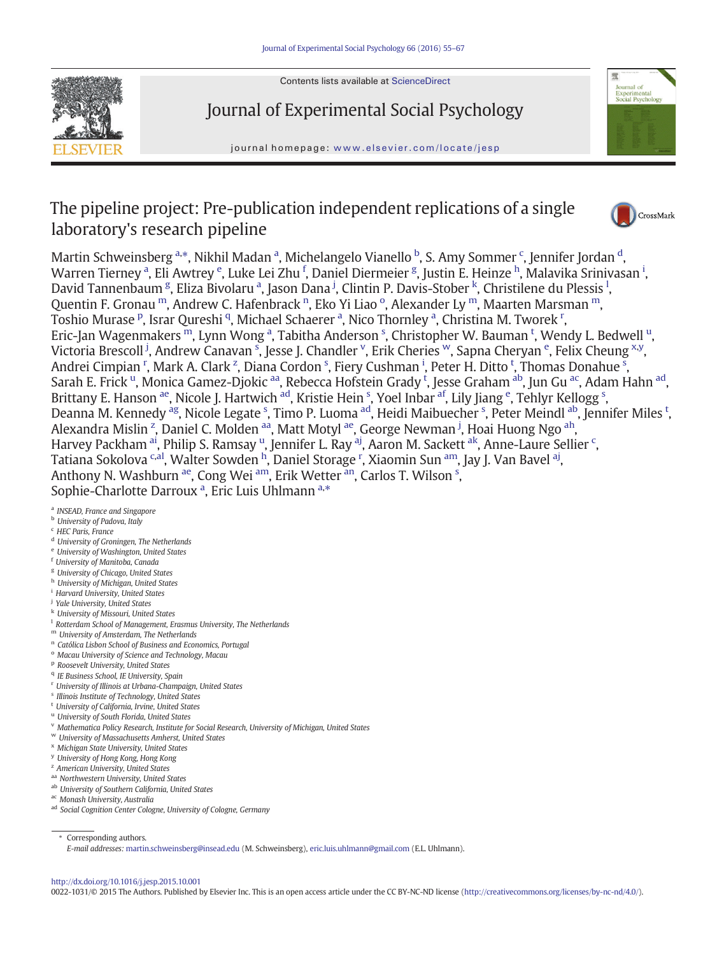

Contents lists available at ScienceDirect

# Journal of Experimental Social Psychology

journal homepage: <www.elsevier.com/locate/jesp>



## The pipeline project: Pre-publication independent replications of a single laboratory's research pipeline



Martin Schweinsberg a.\*, Nikhil Madan a, Michelangelo Vianello <sup>b</sup>, S. Amy Sommer <sup>c</sup>, Jennifer Jordan <sup>d</sup>, Warren Tierney <sup>a</sup>, Eli Awtrey <sup>e</sup>, Luke Lei Zhu <sup>f</sup>, Daniel Diermeier <sup>g</sup>, Justin E. Heinze <sup>h</sup>, Malavika Srinivasan <sup>i</sup>, David Tannenbaum <sup>g</sup>, Eliza Bivolaru <sup>a</sup>, Jason Dana <sup>j</sup>, Clintin P. Davis-Stober <sup>k</sup>, Christilene du Plessis <sup>l</sup>, Quentin F. Gronau  $^{\rm m}$ , Andrew C. Hafenbrack  $^{\rm n}$ , Eko Yi Liao  $^{\rm o}$ , Alexander Ly  $^{\rm m}$ , Maarten Marsman  $^{\rm m}$ , Toshio Murase <sup>p</sup>, Israr Qureshi <sup>q</sup>, Michael Schaerer <sup>a</sup>, Nico Thornley <sup>a</sup>, Christina M. Tworek <sup>r</sup>, Eric-Jan Wagenmakers  $^{\rm m}$ , Lynn Wong <sup>a</sup>, Tabitha Anderson <sup>s</sup>, Christopher W. Bauman <sup>t</sup>, Wendy L. Bedwell <sup>u</sup>, Victoria Brescoll <sup>j</sup>, Andrew Canavan <sup>s</sup>, Jesse J. Chandler <sup>v</sup>, Erik Cheries <sup>w</sup>, Sapna Cheryan <sup>e</sup>, Felix Cheung <sup>x,y</sup>, Andrei Cimpian <sup>r</sup>, Mark A. Clark <sup>z</sup>, Diana Cordon <sup>s</sup>, Fiery Cushman <sup>i</sup>, Peter H. Ditto <sup>t</sup>, Thomas Donahue <sup>s</sup>, Sarah E. Frick <sup>u</sup>, Monica Gamez-Djokic <sup>aa</sup>, Rebecca Hofstein Grady <sup>t</sup>, Jesse Graham <sup>ab</sup>, Jun Gu <sup>ac</sup>, Adam Hahn <sup>ad</sup>, Brittany E. Hanson <sup>ae</sup>, Nicole J. Hartwich <sup>ad</sup>, Kristie Hein <sup>s</sup>, Yoel Inbar <sup>af</sup>, Lily Jiang <sup>e</sup>, Tehlyr Kellogg <sup>s</sup>, Deanna M. Kennedy <sup>[ag](#page-1-0)</sup>, Nicole Legate <sup>s</sup>, Timo P. Luoma <sup>ad</sup>, Heidi Maibuecher <sup>s</sup>, Peter Meindl <sup>ab</sup>, Jennifer Miles <sup>t</sup>, Alexandra Mislin <sup>z</sup>, Daniel C. Molden <sup>aa</sup>, Matt Motyl <sup>ae</sup>, George Newman <sup>j</sup>, Hoai Huong Ngo <sup>[ah](#page-1-0)</sup>, Harvey Packham <sup>[ai](#page-1-0)</sup>, Philip S. Ramsay <sup>u</sup>, Jennifer L. Ray <sup>aj</sup>, Aaron M. Sackett <sup>ak</sup>, Anne-Laure Sellier <sup>c</sup>, Tatiana Sokolova <sup>c[,al](#page-1-0)</sup>, Walter Sowden <sup>h</sup>, Daniel Storage <sup>r</sup>, Xiaomin Sun <sup>[am](#page-1-0)</sup>, Jay J. Van Bavel <sup>aj</sup>, Anthony N. Washburn <sup>ae</sup>, Cong Wei <sup>[am](#page-1-0)</sup>, Erik Wetter <sup>[an](#page-1-0)</sup>, Carlos T. Wilson <sup>s</sup>, Sophie-Charlotte Darroux<sup>a</sup>, Eric Luis Uhlmann<sup>a,\*</sup>

<sup>a</sup> INSEAD, France and Singapore

### **b** University of Padova, Italy

- <sup>c</sup> HEC Paris, France
- <sup>d</sup> University of Groningen, The Netherlands
- <sup>e</sup> University of Washington, United States
- <sup>f</sup> University of Manitoba, Canada
- <sup>g</sup> University of Chicago, United States
- h University of Michigan, United States
- <sup>i</sup> Harvard University, United States
- <sup>j</sup> Yale University, United States
- <sup>k</sup> University of Missouri, United States
- <sup>1</sup> Rotterdam School of Management, Erasmus University, The Netherlands
- <sup>m</sup> University of Amsterdam, The Netherlands
- <sup>n</sup> Católica Lisbon School of Business and Economics, Portugal
- <sup>o</sup> Macau University of Science and Technology, Macau
- <sup>p</sup> Roosevelt University, United States
- <sup>q</sup> IE Business School, IE University, Spain
- <sup>r</sup> University of Illinois at Urbana-Champaign, United States
- <sup>s</sup> Illinois Institute of Technology, United States
- <sup>t</sup> University of California, Irvine, United States
- <sup>u</sup> University of South Florida, United States
- <sup>v</sup> Mathematica Policy Research, Institute for Social Research, University of Michigan, United States
- <sup>w</sup> University of Massachusetts Amherst, United States
- <sup>x</sup> Michigan State University, United States
- <sup>y</sup> University of Hong Kong, Hong Kong
- <sup>z</sup> American University, United States
- aa Northwestern University, United States
- ab University of Southern California, United States
- ac Monash University, Australia
- ad Social Cognition Center Cologne, University of Cologne, Germany

⁎ Corresponding authors.

#### <http://dx.doi.org/10.1016/j.jesp.2015.10.001>

0022-1031/© 2015 The Authors. Published by Elsevier Inc. This is an open access article under the CC BY-NC-ND license ([http://creativecommons.org/licenses/by-nc-nd/4.0/\)](http://creativecommons.org/licenses/by-nc-nd/4.0/).

E-mail addresses: [martin.schweinsberg@insead.edu](mailto:martin.schweinsberg@insead.edu) (M. Schweinsberg), [eric.luis.uhlmann@gmail.com](mailto:eric.luis.uhlmann@gmail.com) (E.L. Uhlmann).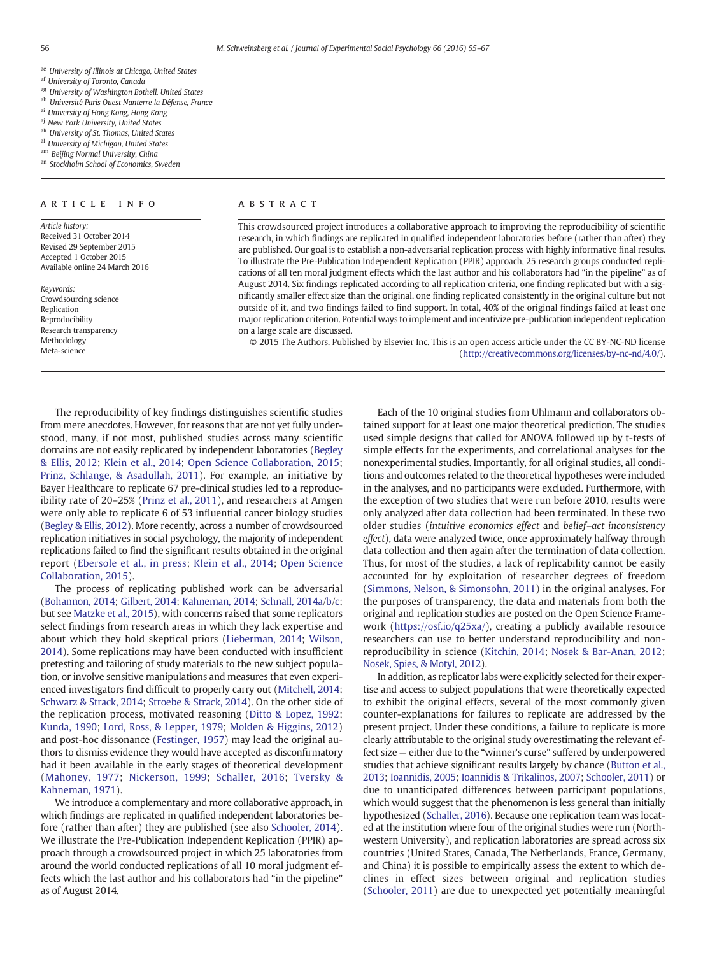- <span id="page-1-0"></span>ae University of Illinois at Chicago, United States
- af University of Toronto, Canada
- ag University of Washington Bothell, United States
- ah Université Paris Ouest Nanterre la Défense, France
- ai University of Hong Kong, Hong Kong
- aj New York University, United States
- ak University of St. Thomas, United States
- al University of Michigan, United States
- <sup>m</sup> Beijing Normal University, China
- an Stockholm School of Economics, Sweden

#### ARTICLE INFO ABSTRACT

Article history: Received 31 October 2014 Revised 29 September 2015 Accepted 1 October 2015 Available online 24 March 2016

Keywords: Crowdsourcing science Replication Reproducibility Research transparency Methodology Meta-science

This crowdsourced project introduces a collaborative approach to improving the reproducibility of scientific research, in which findings are replicated in qualified independent laboratories before (rather than after) they are published. Our goal is to establish a non-adversarial replication process with highly informative final results. To illustrate the Pre-Publication Independent Replication (PPIR) approach, 25 research groups conducted replications of all ten moral judgment effects which the last author and his collaborators had "in the pipeline" as of August 2014. Six findings replicated according to all replication criteria, one finding replicated but with a significantly smaller effect size than the original, one finding replicated consistently in the original culture but not outside of it, and two findings failed to find support. In total, 40% of the original findings failed at least one major replication criterion. Potential ways to implement and incentivize pre-publication independent replication on a large scale are discussed.

© 2015 The Authors. Published by Elsevier Inc. This is an open access article under the CC BY-NC-ND license (<http://creativecommons.org/licenses/by-nc-nd/4.0/>).

The reproducibility of key findings distinguishes scientific studies from mere anecdotes. However, for reasons that are not yet fully understood, many, if not most, published studies across many scientific domains are not easily replicated by independent laboratories [\(Begley](#page-11-0) [& Ellis, 2012;](#page-11-0) [Klein et al., 2014;](#page-11-0) [Open Science Collaboration, 2015](#page-12-0); [Prinz, Schlange, & Asadullah, 2011\)](#page-12-0). For example, an initiative by Bayer Healthcare to replicate 67 pre-clinical studies led to a reproducibility rate of 20–25% [\(Prinz et al., 2011](#page-12-0)), and researchers at Amgen were only able to replicate 6 of 53 influential cancer biology studies [\(Begley & Ellis, 2012\)](#page-11-0). More recently, across a number of crowdsourced replication initiatives in social psychology, the majority of independent replications failed to find the significant results obtained in the original report ([Ebersole et al., in press](#page-11-0); [Klein et al., 2014](#page-11-0); [Open Science](#page-12-0) [Collaboration, 2015](#page-12-0)).

The process of replicating published work can be adversarial [\(Bohannon, 2014](#page-11-0); [Gilbert, 2014;](#page-11-0) [Kahneman, 2014;](#page-11-0) [Schnall, 2014a/b/c](#page-12-0); but see [Matzke et al., 2015\)](#page-12-0), with concerns raised that some replicators select findings from research areas in which they lack expertise and about which they hold skeptical priors [\(Lieberman, 2014;](#page-11-0) [Wilson,](#page-12-0) [2014\)](#page-12-0). Some replications may have been conducted with insufficient pretesting and tailoring of study materials to the new subject population, or involve sensitive manipulations and measures that even experienced investigators find difficult to properly carry out [\(Mitchell, 2014](#page-12-0); [Schwarz & Strack, 2014;](#page-12-0) [Stroebe & Strack, 2014](#page-12-0)). On the other side of the replication process, motivated reasoning [\(Ditto & Lopez, 1992](#page-11-0); [Kunda, 1990;](#page-11-0) [Lord, Ross, & Lepper, 1979](#page-11-0); [Molden & Higgins, 2012](#page-12-0)) and post-hoc dissonance [\(Festinger, 1957\)](#page-11-0) may lead the original authors to dismiss evidence they would have accepted as disconfirmatory had it been available in the early stages of theoretical development ([Mahoney, 1977](#page-11-0); [Nickerson, 1999;](#page-12-0) [Schaller, 2016;](#page-12-0) [Tversky &](#page-12-0) [Kahneman, 1971](#page-12-0)).

We introduce a complementary and more collaborative approach, in which findings are replicated in qualified independent laboratories before (rather than after) they are published (see also [Schooler, 2014](#page-12-0)). We illustrate the Pre-Publication Independent Replication (PPIR) approach through a crowdsourced project in which 25 laboratories from around the world conducted replications of all 10 moral judgment effects which the last author and his collaborators had "in the pipeline" as of August 2014.

Each of the 10 original studies from Uhlmann and collaborators obtained support for at least one major theoretical prediction. The studies used simple designs that called for ANOVA followed up by t-tests of simple effects for the experiments, and correlational analyses for the nonexperimental studies. Importantly, for all original studies, all conditions and outcomes related to the theoretical hypotheses were included in the analyses, and no participants were excluded. Furthermore, with the exception of two studies that were run before 2010, results were only analyzed after data collection had been terminated. In these two older studies (intuitive economics effect and belief–act inconsistency effect), data were analyzed twice, once approximately halfway through data collection and then again after the termination of data collection. Thus, for most of the studies, a lack of replicability cannot be easily accounted for by exploitation of researcher degrees of freedom [\(Simmons, Nelson, & Simonsohn, 2011](#page-12-0)) in the original analyses. For the purposes of transparency, the data and materials from both the original and replication studies are posted on the Open Science Framework (<https://osf.io/q25xa/>), creating a publicly available resource researchers can use to better understand reproducibility and nonreproducibility in science ([Kitchin, 2014;](#page-11-0) [Nosek & Bar-Anan, 2012](#page-12-0); [Nosek, Spies, & Motyl, 2012\)](#page-12-0).

In addition, as replicator labs were explicitly selected for their expertise and access to subject populations that were theoretically expected to exhibit the original effects, several of the most commonly given counter-explanations for failures to replicate are addressed by the present project. Under these conditions, a failure to replicate is more clearly attributable to the original study overestimating the relevant effect size — either due to the "winner's curse" suffered by underpowered studies that achieve significant results largely by chance ([Button et al.,](#page-11-0) [2013;](#page-11-0) [Ioannidis, 2005;](#page-11-0) [Ioannidis & Trikalinos, 2007](#page-11-0); [Schooler, 2011\)](#page-12-0) or due to unanticipated differences between participant populations, which would suggest that the phenomenon is less general than initially hypothesized ([Schaller, 2016](#page-12-0)). Because one replication team was located at the institution where four of the original studies were run (Northwestern University), and replication laboratories are spread across six countries (United States, Canada, The Netherlands, France, Germany, and China) it is possible to empirically assess the extent to which declines in effect sizes between original and replication studies [\(Schooler, 2011](#page-12-0)) are due to unexpected yet potentially meaningful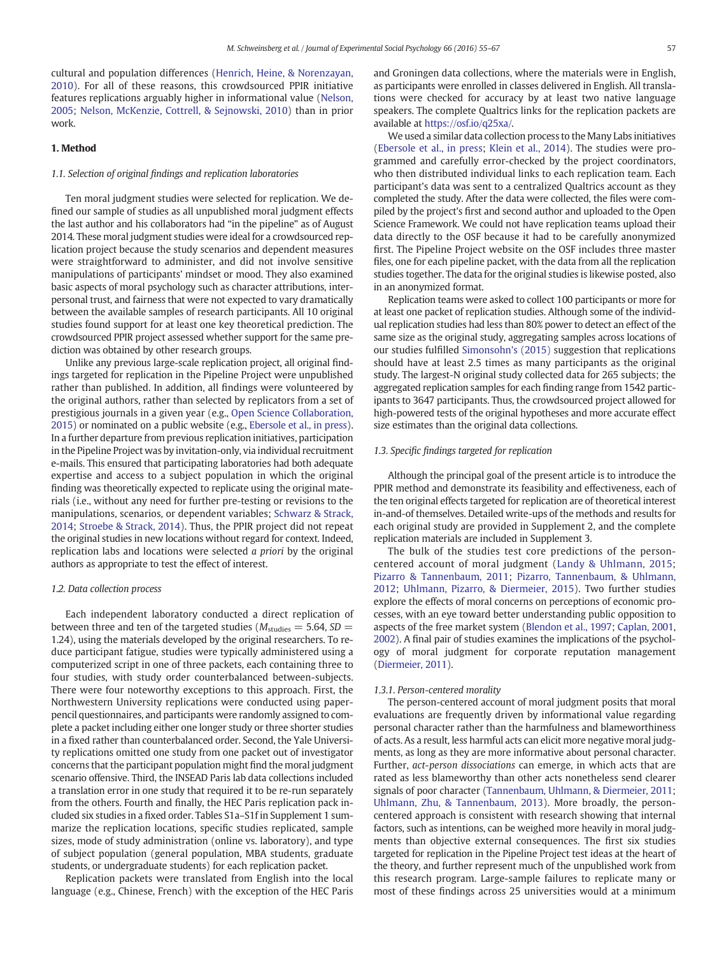cultural and population differences [\(Henrich, Heine, & Norenzayan,](#page-11-0) [2010\)](#page-11-0). For all of these reasons, this crowdsourced PPIR initiative features replications arguably higher in informational value ([Nelson,](#page-12-0) [2005;](#page-12-0) [Nelson, McKenzie, Cottrell, & Sejnowski, 2010](#page-12-0)) than in prior work.

#### 1. Method

#### 1.1. Selection of original findings and replication laboratories

Ten moral judgment studies were selected for replication. We defined our sample of studies as all unpublished moral judgment effects the last author and his collaborators had "in the pipeline" as of August 2014. These moral judgment studies were ideal for a crowdsourced replication project because the study scenarios and dependent measures were straightforward to administer, and did not involve sensitive manipulations of participants' mindset or mood. They also examined basic aspects of moral psychology such as character attributions, interpersonal trust, and fairness that were not expected to vary dramatically between the available samples of research participants. All 10 original studies found support for at least one key theoretical prediction. The crowdsourced PPIR project assessed whether support for the same prediction was obtained by other research groups.

Unlike any previous large-scale replication project, all original findings targeted for replication in the Pipeline Project were unpublished rather than published. In addition, all findings were volunteered by the original authors, rather than selected by replicators from a set of prestigious journals in a given year (e.g., [Open Science Collaboration,](#page-12-0) [2015](#page-12-0)) or nominated on a public website (e.g., [Ebersole et al., in press](#page-11-0)). In a further departure from previous replication initiatives, participation in the Pipeline Project was by invitation-only, via individual recruitment e-mails. This ensured that participating laboratories had both adequate expertise and access to a subject population in which the original finding was theoretically expected to replicate using the original materials (i.e., without any need for further pre-testing or revisions to the manipulations, scenarios, or dependent variables; [Schwarz & Strack,](#page-12-0) [2014;](#page-12-0) [Stroebe & Strack, 2014\)](#page-12-0). Thus, the PPIR project did not repeat the original studies in new locations without regard for context. Indeed, replication labs and locations were selected a priori by the original authors as appropriate to test the effect of interest.

#### 1.2. Data collection process

Each independent laboratory conducted a direct replication of between three and ten of the targeted studies ( $M_{\text{studies}} = 5.64$ , SD = 1.24), using the materials developed by the original researchers. To reduce participant fatigue, studies were typically administered using a computerized script in one of three packets, each containing three to four studies, with study order counterbalanced between-subjects. There were four noteworthy exceptions to this approach. First, the Northwestern University replications were conducted using paperpencil questionnaires, and participants were randomly assigned to complete a packet including either one longer study or three shorter studies in a fixed rather than counterbalanced order. Second, the Yale University replications omitted one study from one packet out of investigator concerns that the participant population might find the moral judgment scenario offensive. Third, the INSEAD Paris lab data collections included a translation error in one study that required it to be re-run separately from the others. Fourth and finally, the HEC Paris replication pack included six studies in a fixed order. Tables S1a–S1f in Supplement 1 summarize the replication locations, specific studies replicated, sample sizes, mode of study administration (online vs. laboratory), and type of subject population (general population, MBA students, graduate students, or undergraduate students) for each replication packet.

Replication packets were translated from English into the local language (e.g., Chinese, French) with the exception of the HEC Paris and Groningen data collections, where the materials were in English, as participants were enrolled in classes delivered in English. All translations were checked for accuracy by at least two native language speakers. The complete Qualtrics links for the replication packets are available at [https://osf.io/q25xa/](https://www.osf.io/q25xa/).

We used a similar data collection process to the Many Labs initiatives [\(Ebersole et al., in press](#page-11-0); [Klein et al., 2014](#page-11-0)). The studies were programmed and carefully error-checked by the project coordinators, who then distributed individual links to each replication team. Each participant's data was sent to a centralized Qualtrics account as they completed the study. After the data were collected, the files were compiled by the project's first and second author and uploaded to the Open Science Framework. We could not have replication teams upload their data directly to the OSF because it had to be carefully anonymized first. The Pipeline Project website on the OSF includes three master files, one for each pipeline packet, with the data from all the replication studies together. The data for the original studies is likewise posted, also in an anonymized format.

Replication teams were asked to collect 100 participants or more for at least one packet of replication studies. Although some of the individual replication studies had less than 80% power to detect an effect of the same size as the original study, aggregating samples across locations of our studies fulfilled [Simonsohn's \(2015\)](#page-12-0) suggestion that replications should have at least 2.5 times as many participants as the original study. The largest-N original study collected data for 265 subjects; the aggregated replication samples for each finding range from 1542 participants to 3647 participants. Thus, the crowdsourced project allowed for high-powered tests of the original hypotheses and more accurate effect size estimates than the original data collections.

#### 1.3. Specific findings targeted for replication

Although the principal goal of the present article is to introduce the PPIR method and demonstrate its feasibility and effectiveness, each of the ten original effects targeted for replication are of theoretical interest in-and-of themselves. Detailed write-ups of the methods and results for each original study are provided in Supplement 2, and the complete replication materials are included in Supplement 3.

The bulk of the studies test core predictions of the personcentered account of moral judgment ([Landy & Uhlmann, 2015;](#page-11-0) [Pizarro & Tannenbaum, 2011;](#page-12-0) [Pizarro, Tannenbaum, & Uhlmann,](#page-12-0) [2012;](#page-12-0) [Uhlmann, Pizarro, & Diermeier, 2015](#page-12-0)). Two further studies explore the effects of moral concerns on perceptions of economic processes, with an eye toward better understanding public opposition to aspects of the free market system [\(Blendon et al., 1997](#page-11-0); [Caplan, 2001,](#page-11-0) [2002](#page-11-0)). A final pair of studies examines the implications of the psychology of moral judgment for corporate reputation management [\(Diermeier, 2011](#page-11-0)).

#### 1.3.1. Person-centered morality

The person-centered account of moral judgment posits that moral evaluations are frequently driven by informational value regarding personal character rather than the harmfulness and blameworthiness of acts. As a result, less harmful acts can elicit more negative moral judgments, as long as they are more informative about personal character. Further, act-person dissociations can emerge, in which acts that are rated as less blameworthy than other acts nonetheless send clearer signals of poor character ([Tannenbaum, Uhlmann, & Diermeier, 2011;](#page-12-0) [Uhlmann, Zhu, & Tannenbaum, 2013](#page-12-0)). More broadly, the personcentered approach is consistent with research showing that internal factors, such as intentions, can be weighed more heavily in moral judgments than objective external consequences. The first six studies targeted for replication in the Pipeline Project test ideas at the heart of the theory, and further represent much of the unpublished work from this research program. Large-sample failures to replicate many or most of these findings across 25 universities would at a minimum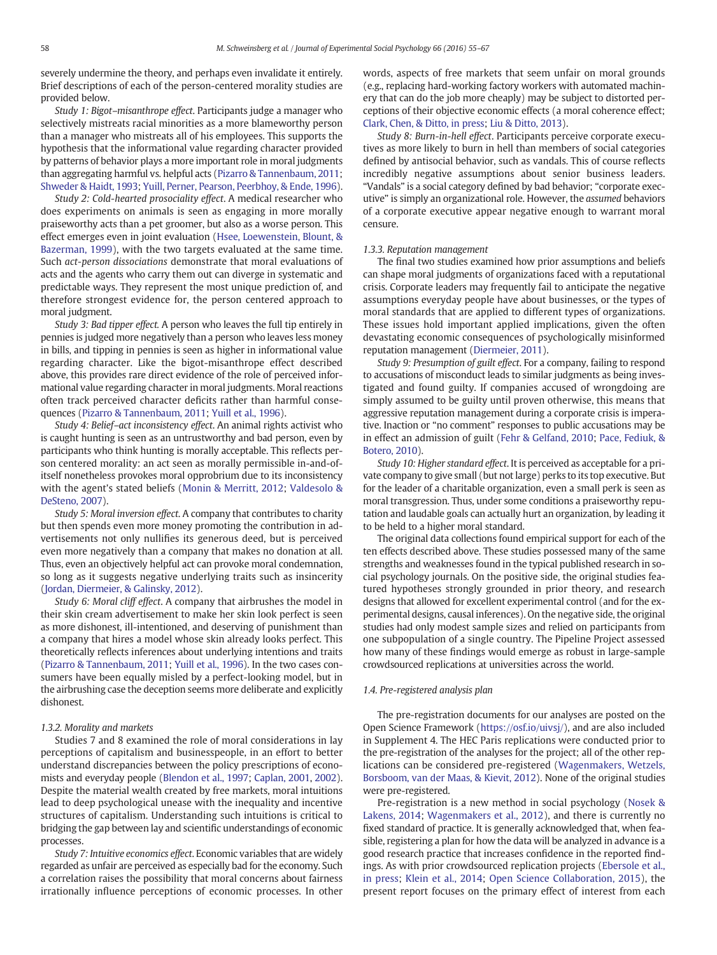severely undermine the theory, and perhaps even invalidate it entirely. Brief descriptions of each of the person-centered morality studies are provided below.

Study 1: Bigot–misanthrope effect. Participants judge a manager who selectively mistreats racial minorities as a more blameworthy person than a manager who mistreats all of his employees. This supports the hypothesis that the informational value regarding character provided by patterns of behavior plays a more important role in moral judgments than aggregating harmful vs. helpful acts ([Pizarro & Tannenbaum, 2011](#page-12-0); [Shweder & Haidt, 1993;](#page-12-0) [Yuill, Perner, Pearson, Peerbhoy, & Ende, 1996\)](#page-12-0).

Study 2: Cold-hearted prosociality effect. A medical researcher who does experiments on animals is seen as engaging in more morally praiseworthy acts than a pet groomer, but also as a worse person. This effect emerges even in joint evaluation [\(Hsee, Loewenstein, Blount, &](#page-11-0) [Bazerman, 1999](#page-11-0)), with the two targets evaluated at the same time. Such act-person dissociations demonstrate that moral evaluations of acts and the agents who carry them out can diverge in systematic and predictable ways. They represent the most unique prediction of, and therefore strongest evidence for, the person centered approach to moral judgment.

Study 3: Bad tipper effect. A person who leaves the full tip entirely in pennies is judged more negatively than a person who leaves less money in bills, and tipping in pennies is seen as higher in informational value regarding character. Like the bigot-misanthrope effect described above, this provides rare direct evidence of the role of perceived informational value regarding character in moral judgments. Moral reactions often track perceived character deficits rather than harmful consequences [\(Pizarro & Tannenbaum, 2011](#page-12-0); [Yuill et al., 1996\)](#page-12-0).

Study 4: Belief–act inconsistency effect. An animal rights activist who is caught hunting is seen as an untrustworthy and bad person, even by participants who think hunting is morally acceptable. This reflects person centered morality: an act seen as morally permissible in-and-ofitself nonetheless provokes moral opprobrium due to its inconsistency with the agent's stated beliefs ([Monin & Merritt, 2012;](#page-12-0) [Valdesolo &](#page-12-0) [DeSteno, 2007\)](#page-12-0).

Study 5: Moral inversion effect. A company that contributes to charity but then spends even more money promoting the contribution in advertisements not only nullifies its generous deed, but is perceived even more negatively than a company that makes no donation at all. Thus, even an objectively helpful act can provoke moral condemnation, so long as it suggests negative underlying traits such as insincerity [\(Jordan, Diermeier, & Galinsky, 2012](#page-11-0)).

Study 6: Moral cliff effect. A company that airbrushes the model in their skin cream advertisement to make her skin look perfect is seen as more dishonest, ill-intentioned, and deserving of punishment than a company that hires a model whose skin already looks perfect. This theoretically reflects inferences about underlying intentions and traits [\(Pizarro & Tannenbaum, 2011](#page-12-0); [Yuill et al., 1996](#page-12-0)). In the two cases consumers have been equally misled by a perfect-looking model, but in the airbrushing case the deception seems more deliberate and explicitly dishonest.

#### 1.3.2. Morality and markets

Studies 7 and 8 examined the role of moral considerations in lay perceptions of capitalism and businesspeople, in an effort to better understand discrepancies between the policy prescriptions of economists and everyday people ([Blendon et al., 1997](#page-11-0); [Caplan, 2001,](#page-11-0) [2002\)](#page-11-0). Despite the material wealth created by free markets, moral intuitions lead to deep psychological unease with the inequality and incentive structures of capitalism. Understanding such intuitions is critical to bridging the gap between lay and scientific understandings of economic processes.

Study 7: Intuitive economics effect. Economic variables that are widely regarded as unfair are perceived as especially bad for the economy. Such a correlation raises the possibility that moral concerns about fairness irrationally influence perceptions of economic processes. In other words, aspects of free markets that seem unfair on moral grounds (e.g., replacing hard-working factory workers with automated machinery that can do the job more cheaply) may be subject to distorted perceptions of their objective economic effects (a moral coherence effect; [Clark, Chen, & Ditto, in press](#page-11-0); [Liu & Ditto, 2013\)](#page-11-0).

Study 8: Burn-in-hell effect. Participants perceive corporate executives as more likely to burn in hell than members of social categories defined by antisocial behavior, such as vandals. This of course reflects incredibly negative assumptions about senior business leaders. "Vandals" is a social category defined by bad behavior; "corporate executive" is simply an organizational role. However, the assumed behaviors of a corporate executive appear negative enough to warrant moral censure.

#### 1.3.3. Reputation management

The final two studies examined how prior assumptions and beliefs can shape moral judgments of organizations faced with a reputational crisis. Corporate leaders may frequently fail to anticipate the negative assumptions everyday people have about businesses, or the types of moral standards that are applied to different types of organizations. These issues hold important applied implications, given the often devastating economic consequences of psychologically misinformed reputation management ([Diermeier, 2011\)](#page-11-0).

Study 9: Presumption of guilt effect. For a company, failing to respond to accusations of misconduct leads to similar judgments as being investigated and found guilty. If companies accused of wrongdoing are simply assumed to be guilty until proven otherwise, this means that aggressive reputation management during a corporate crisis is imperative. Inaction or "no comment" responses to public accusations may be in effect an admission of guilt [\(Fehr & Gelfand, 2010](#page-11-0); [Pace, Fediuk, &](#page-12-0) [Botero, 2010\)](#page-12-0).

Study 10: Higher standard effect. It is perceived as acceptable for a private company to give small (but not large) perks to its top executive. But for the leader of a charitable organization, even a small perk is seen as moral transgression. Thus, under some conditions a praiseworthy reputation and laudable goals can actually hurt an organization, by leading it to be held to a higher moral standard.

The original data collections found empirical support for each of the ten effects described above. These studies possessed many of the same strengths and weaknesses found in the typical published research in social psychology journals. On the positive side, the original studies featured hypotheses strongly grounded in prior theory, and research designs that allowed for excellent experimental control (and for the experimental designs, causal inferences). On the negative side, the original studies had only modest sample sizes and relied on participants from one subpopulation of a single country. The Pipeline Project assessed how many of these findings would emerge as robust in large-sample crowdsourced replications at universities across the world.

#### 1.4. Pre-registered analysis plan

The pre-registration documents for our analyses are posted on the Open Science Framework [\(https://osf.io/uivsj/](https://www.osf.io/uivsj/)), and are also included in Supplement 4. The HEC Paris replications were conducted prior to the pre-registration of the analyses for the project; all of the other replications can be considered pre-registered ([Wagenmakers, Wetzels,](#page-12-0) [Borsboom, van der Maas, & Kievit, 2012](#page-12-0)). None of the original studies were pre-registered.

Pre-registration is a new method in social psychology ([Nosek &](#page-12-0) [Lakens, 2014;](#page-12-0) [Wagenmakers et al., 2012\)](#page-12-0), and there is currently no fixed standard of practice. It is generally acknowledged that, when feasible, registering a plan for how the data will be analyzed in advance is a good research practice that increases confidence in the reported findings. As with prior crowdsourced replication projects [\(Ebersole et al.,](#page-11-0) [in press](#page-11-0); [Klein et al., 2014;](#page-11-0) [Open Science Collaboration, 2015](#page-12-0)), the present report focuses on the primary effect of interest from each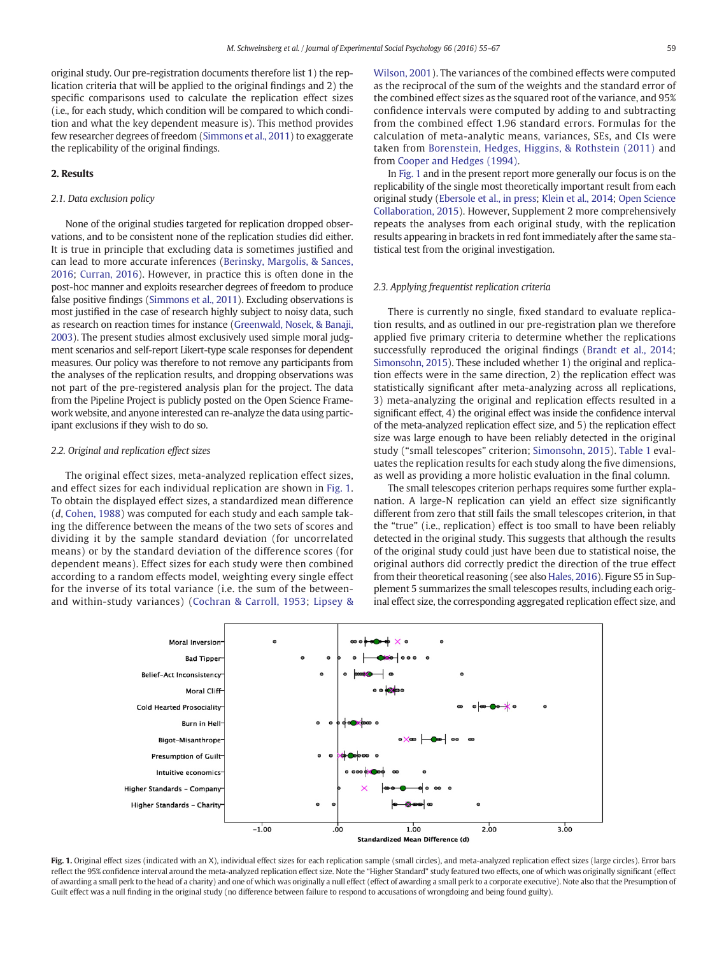<span id="page-4-0"></span>original study. Our pre-registration documents therefore list 1) the replication criteria that will be applied to the original findings and 2) the specific comparisons used to calculate the replication effect sizes (i.e., for each study, which condition will be compared to which condition and what the key dependent measure is). This method provides few researcher degrees of freedom ([Simmons et al., 2011](#page-12-0)) to exaggerate the replicability of the original findings.

#### 2. Results

#### 2.1. Data exclusion policy

None of the original studies targeted for replication dropped observations, and to be consistent none of the replication studies did either. It is true in principle that excluding data is sometimes justified and can lead to more accurate inferences ([Berinsky, Margolis, & Sances,](#page-11-0) [2016;](#page-11-0) [Curran, 2016\)](#page-11-0). However, in practice this is often done in the post-hoc manner and exploits researcher degrees of freedom to produce false positive findings [\(Simmons et al., 2011](#page-12-0)). Excluding observations is most justified in the case of research highly subject to noisy data, such as research on reaction times for instance ([Greenwald, Nosek, & Banaji,](#page-11-0) [2003](#page-11-0)). The present studies almost exclusively used simple moral judgment scenarios and self-report Likert-type scale responses for dependent measures. Our policy was therefore to not remove any participants from the analyses of the replication results, and dropping observations was not part of the pre-registered analysis plan for the project. The data from the Pipeline Project is publicly posted on the Open Science Framework website, and anyone interested can re-analyze the data using participant exclusions if they wish to do so.

#### 2.2. Original and replication effect sizes

The original effect sizes, meta-analyzed replication effect sizes, and effect sizes for each individual replication are shown in Fig. 1. To obtain the displayed effect sizes, a standardized mean difference (d, [Cohen, 1988](#page-11-0)) was computed for each study and each sample taking the difference between the means of the two sets of scores and dividing it by the sample standard deviation (for uncorrelated means) or by the standard deviation of the difference scores (for dependent means). Effect sizes for each study were then combined according to a random effects model, weighting every single effect for the inverse of its total variance (i.e. the sum of the betweenand within-study variances) [\(Cochran & Carroll, 1953](#page-11-0); [Lipsey &](#page-11-0)

[Wilson, 2001\)](#page-11-0). The variances of the combined effects were computed as the reciprocal of the sum of the weights and the standard error of the combined effect sizes as the squared root of the variance, and 95% confidence intervals were computed by adding to and subtracting from the combined effect 1.96 standard errors. Formulas for the calculation of meta-analytic means, variances, SEs, and CIs were taken from [Borenstein, Hedges, Higgins, & Rothstein \(2011\)](#page-11-0) and from [Cooper and Hedges \(1994\)](#page-11-0).

In Fig. 1 and in the present report more generally our focus is on the replicability of the single most theoretically important result from each original study [\(Ebersole et al., in press](#page-11-0); [Klein et al., 2014](#page-11-0); [Open Science](#page-12-0) [Collaboration, 2015](#page-12-0)). However, Supplement 2 more comprehensively repeats the analyses from each original study, with the replication results appearing in brackets in red font immediately after the same statistical test from the original investigation.

#### 2.3. Applying frequentist replication criteria

There is currently no single, fixed standard to evaluate replication results, and as outlined in our pre-registration plan we therefore applied five primary criteria to determine whether the replications successfully reproduced the original findings ([Brandt et al., 2014;](#page-11-0) [Simonsohn, 2015\)](#page-12-0). These included whether 1) the original and replication effects were in the same direction, 2) the replication effect was statistically significant after meta-analyzing across all replications, 3) meta-analyzing the original and replication effects resulted in a significant effect, 4) the original effect was inside the confidence interval of the meta-analyzed replication effect size, and 5) the replication effect size was large enough to have been reliably detected in the original study ("small telescopes" criterion; [Simonsohn, 2015\)](#page-12-0). [Table 1](#page-5-0) evaluates the replication results for each study along the five dimensions, as well as providing a more holistic evaluation in the final column.

The small telescopes criterion perhaps requires some further explanation. A large-N replication can yield an effect size significantly different from zero that still fails the small telescopes criterion, in that the "true" (i.e., replication) effect is too small to have been reliably detected in the original study. This suggests that although the results of the original study could just have been due to statistical noise, the original authors did correctly predict the direction of the true effect from their theoretical reasoning (see also [Hales, 2016](#page-11-0)). Figure S5 in Supplement 5 summarizes the small telescopes results, including each original effect size, the corresponding aggregated replication effect size, and



Fig. 1. Original effect sizes (indicated with an X), individual effect sizes for each replication sample (small circles), and meta-analyzed replication effect sizes (large circles). Error bars reflect the 95% confidence interval around the meta-analyzed replication effect size. Note the "Higher Standard" study featured two effects, one of which was originally significant (effect of awarding a small perk to the head of a charity) and one of which was originally a null effect (effect of awarding a small perk to a corporate executive). Note also that the Presumption of Guilt effect was a null finding in the original study (no difference between failure to respond to accusations of wrongdoing and being found guilty).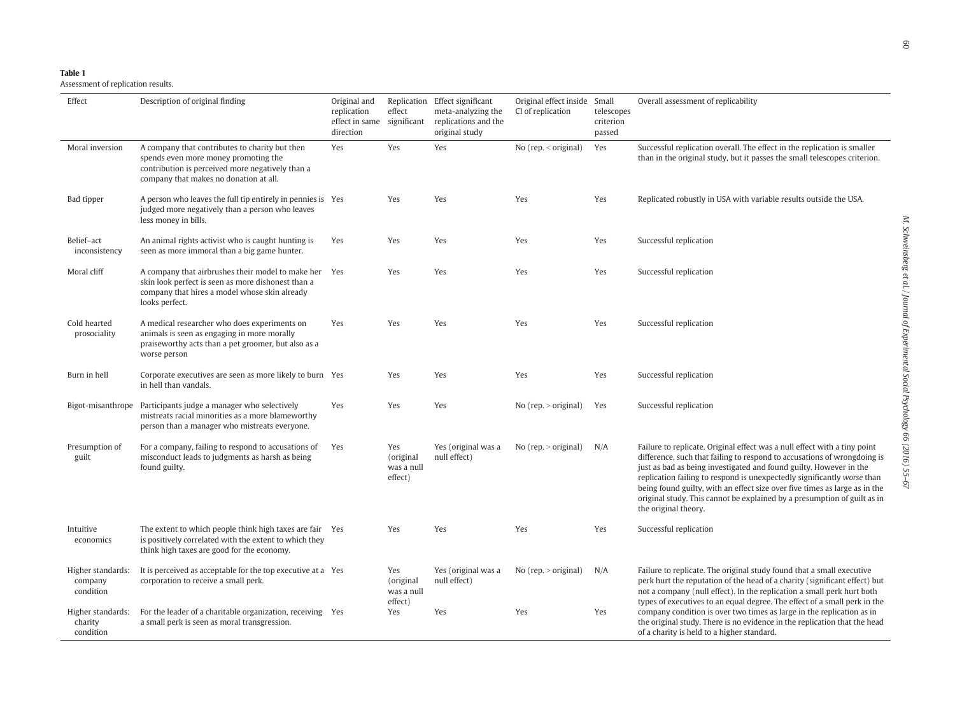<span id="page-5-0"></span>

| ы | DI | r |  |  |
|---|----|---|--|--|
|   |    |   |  |  |

Assessment of replication results.

| Effect                                    | Description of original finding                                                                                                                                                      | Original and<br>replication<br>direction | effect                                    | Replication Effect significant<br>meta-analyzing the<br>effect in same significant replications and the<br>original study | Original effect inside<br>CI of replication | Small<br>telescopes<br>criterion<br>passed | Overall assessment of replicability                                                                                                                                                                                                                                                                                                                                                                                                                                                      |
|-------------------------------------------|--------------------------------------------------------------------------------------------------------------------------------------------------------------------------------------|------------------------------------------|-------------------------------------------|---------------------------------------------------------------------------------------------------------------------------|---------------------------------------------|--------------------------------------------|------------------------------------------------------------------------------------------------------------------------------------------------------------------------------------------------------------------------------------------------------------------------------------------------------------------------------------------------------------------------------------------------------------------------------------------------------------------------------------------|
| Moral inversion                           | A company that contributes to charity but then<br>spends even more money promoting the<br>contribution is perceived more negatively than a<br>company that makes no donation at all. | Yes                                      | Yes                                       | Yes                                                                                                                       | No $(rep, <$ original $)$                   | Yes                                        | Successful replication overall. The effect in the replication is smaller<br>than in the original study, but it passes the small telescopes criterion.                                                                                                                                                                                                                                                                                                                                    |
| Bad tipper                                | A person who leaves the full tip entirely in pennies is Yes<br>judged more negatively than a person who leaves<br>less money in bills.                                               |                                          | Yes                                       | Yes                                                                                                                       | Yes                                         | Yes                                        | Replicated robustly in USA with variable results outside the USA.                                                                                                                                                                                                                                                                                                                                                                                                                        |
| Belief-act<br>inconsistency               | An animal rights activist who is caught hunting is<br>seen as more immoral than a big game hunter.                                                                                   | Yes                                      | Yes                                       | Yes                                                                                                                       | Yes                                         | Yes                                        | Successful replication                                                                                                                                                                                                                                                                                                                                                                                                                                                                   |
| Moral cliff                               | A company that airbrushes their model to make her Yes<br>skin look perfect is seen as more dishonest than a<br>company that hires a model whose skin already<br>looks perfect.       |                                          | Yes                                       | Yes                                                                                                                       | Yes                                         | Yes                                        | Successful replication                                                                                                                                                                                                                                                                                                                                                                                                                                                                   |
| Cold hearted<br>prosociality              | A medical researcher who does experiments on<br>animals is seen as engaging in more morally<br>praiseworthy acts than a pet groomer, but also as a<br>worse person                   | Yes                                      | Yes                                       | Yes                                                                                                                       | Yes                                         | Yes                                        | Successful replication                                                                                                                                                                                                                                                                                                                                                                                                                                                                   |
| Burn in hell                              | Corporate executives are seen as more likely to burn Yes<br>in hell than vandals.                                                                                                    |                                          | Yes                                       | Yes                                                                                                                       | Yes                                         | Yes                                        | Successful replication                                                                                                                                                                                                                                                                                                                                                                                                                                                                   |
| Bigot-misanthrope                         | Participants judge a manager who selectively<br>mistreats racial minorities as a more blameworthy<br>person than a manager who mistreats everyone.                                   | Yes                                      | Yes                                       | Yes                                                                                                                       | No $(rep. > original)$                      | Yes                                        | Successful replication                                                                                                                                                                                                                                                                                                                                                                                                                                                                   |
| Presumption of<br>guilt                   | For a company, failing to respond to accusations of<br>misconduct leads to judgments as harsh as being<br>found guilty.                                                              | Yes                                      | Yes<br>(original<br>was a null<br>effect) | Yes (original was a<br>null effect)                                                                                       | No $(rep. > original)$                      | N/A                                        | Failure to replicate. Original effect was a null effect with a tiny point<br>difference, such that failing to respond to accusations of wrongdoing is<br>just as bad as being investigated and found guilty. However in the<br>replication failing to respond is unexpectedly significantly worse than<br>being found guilty, with an effect size over five times as large as in the<br>original study. This cannot be explained by a presumption of guilt as in<br>the original theory. |
| Intuitive<br>economics                    | The extent to which people think high taxes are fair Yes<br>is positively correlated with the extent to which they<br>think high taxes are good for the economy.                     |                                          | Yes                                       | Yes                                                                                                                       | Yes                                         | Yes                                        | Successful replication                                                                                                                                                                                                                                                                                                                                                                                                                                                                   |
| Higher standards:<br>company<br>condition | It is perceived as acceptable for the top executive at a Yes<br>corporation to receive a small perk.                                                                                 |                                          | Yes<br>(original<br>was a null<br>effect) | Yes (original was a<br>null effect)                                                                                       | No $(rep. > original)$                      | N/A                                        | Failure to replicate. The original study found that a small executive<br>perk hurt the reputation of the head of a charity (significant effect) but<br>not a company (null effect). In the replication a small perk hurt both<br>types of executives to an equal degree. The effect of a small perk in the                                                                                                                                                                               |
| Higher standards:<br>charity<br>condition | For the leader of a charitable organization, receiving Yes<br>a small perk is seen as moral transgression.                                                                           |                                          | Yes                                       | Yes                                                                                                                       | Yes                                         | Yes                                        | company condition is over two times as large in the replication as in<br>the original study. There is no evidence in the replication that the head<br>of a charity is held to a higher standard.                                                                                                                                                                                                                                                                                         |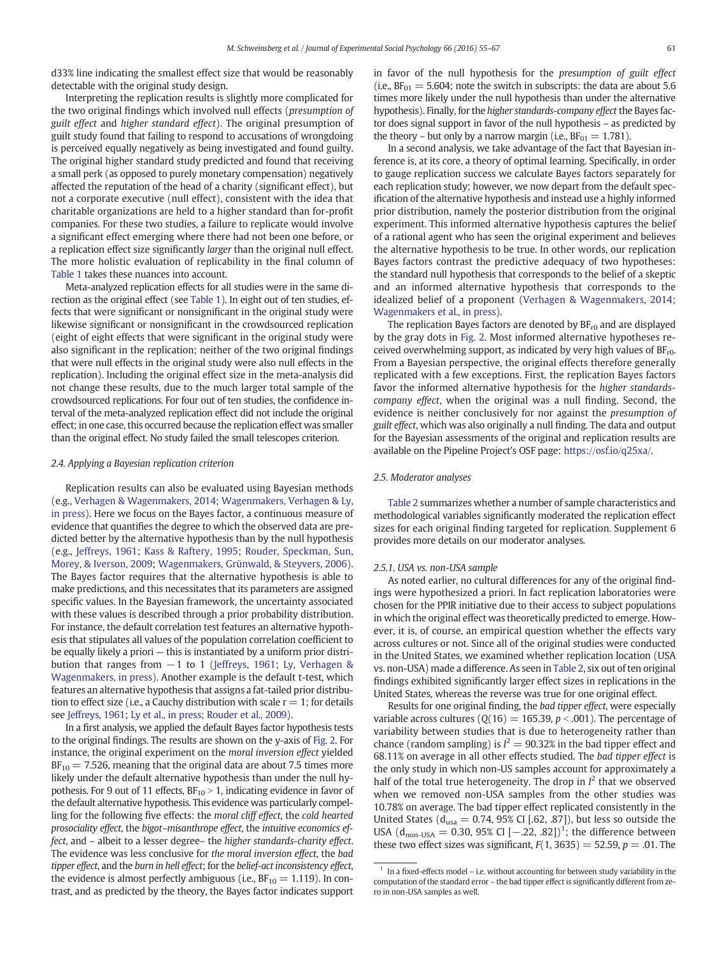d33% line indicating the smallest effect size that would be reasonably detectable with the original study design.

Interpreting the replication results is slightly more complicated for the two original findings which involved null effects (presumption of guilt effect and higher standard effect). The original presumption of guilt study found that failing to respond to accusations of wrongdoing is perceived equally negatively as being investigated and found guilty. The original higher standard study predicted and found that receiving a small perk (as opposed to purely monetary compensation) negatively affected the reputation of the head of a charity (significant effect), but not a corporate executive (null effect), consistent with the idea that charitable organizations are held to a higher standard than for-profit companies. For these two studies, a failure to replicate would involve a significant effect emerging where there had not been one before, or a replication effect size significantly larger than the original null effect. The more holistic evaluation of replicability in the final column of [Table 1](#page-5-0) takes these nuances into account.

Meta-analyzed replication effects for all studies were in the same direction as the original effect (see [Table 1\)](#page-5-0). In eight out of ten studies, effects that were significant or nonsignificant in the original study were likewise significant or nonsignificant in the crowdsourced replication (eight of eight effects that were significant in the original study were also significant in the replication; neither of the two original findings that were null effects in the original study were also null effects in the replication). Including the original effect size in the meta-analysis did not change these results, due to the much larger total sample of the crowdsourced replications. For four out of ten studies, the confidence interval of the meta-analyzed replication effect did not include the original effect; in one case, this occurred because the replication effect was smaller than the original effect. No study failed the small telescopes criterion.

#### 2.4. Applying a Bayesian replication criterion

Replication results can also be evaluated using Bayesian methods (e.g., [Verhagen & Wagenmakers, 2014](#page-12-0); [Wagenmakers, Verhagen & Ly,](#page-12-0) [in press\)](#page-12-0). Here we focus on the Bayes factor, a continuous measure of evidence that quantifies the degree to which the observed data are predicted better by the alternative hypothesis than by the null hypothesis (e.g., [Jeffreys, 1961](#page-11-0); [Kass & Raftery, 1995;](#page-11-0) [Rouder, Speckman, Sun,](#page-12-0) [Morey, & Iverson, 2009;](#page-12-0) [Wagenmakers, Grünwald, & Steyvers, 2006](#page-12-0)). The Bayes factor requires that the alternative hypothesis is able to make predictions, and this necessitates that its parameters are assigned specific values. In the Bayesian framework, the uncertainty associated with these values is described through a prior probability distribution. For instance, the default correlation test features an alternative hypothesis that stipulates all values of the population correlation coefficient to be equally likely a priori — this is instantiated by a uniform prior distribution that ranges from −1 to 1 ([Jeffreys, 1961](#page-11-0); [Ly, Verhagen &](#page-11-0) [Wagenmakers, in press](#page-11-0)). Another example is the default t-test, which features an alternative hypothesis that assigns a fat-tailed prior distribution to effect size (i.e., a Cauchy distribution with scale  $r = 1$ ; for details see [Jeffreys, 1961;](#page-11-0) [Ly et al., in press](#page-11-0); [Rouder et al., 2009](#page-12-0)).

In a first analysis, we applied the default Bayes factor hypothesis tests to the original findings. The results are shown on the y-axis of [Fig. 2](#page-7-0). For instance, the original experiment on the moral inversion effect yielded  $BF_{10} = 7.526$ , meaning that the original data are about 7.5 times more likely under the default alternative hypothesis than under the null hypothesis. For 9 out of 11 effects,  $BF_{10} > 1$ , indicating evidence in favor of the default alternative hypothesis. This evidence was particularly compelling for the following five effects: the moral cliff effect, the cold hearted prosociality effect, the bigot–misanthrope effect, the intuitive economics effect, and – albeit to a lesser degree– the higher standards-charity effect. The evidence was less conclusive for the moral inversion effect, the bad tipper effect, and the burn in hell effect; for the belief-act inconsistency effect, the evidence is almost perfectly ambiguous (i.e.,  $BF_{10} = 1.119$ ). In contrast, and as predicted by the theory, the Bayes factor indicates support in favor of the null hypothesis for the presumption of guilt effect (i.e.,  $BF_{01} = 5.604$ ; note the switch in subscripts: the data are about 5.6 times more likely under the null hypothesis than under the alternative hypothesis). Finally, for the higher standards-company effect the Bayes factor does signal support in favor of the null hypothesis – as predicted by the theory – but only by a narrow margin (i.e.,  $BF_{01} = 1.781$ ).

In a second analysis, we take advantage of the fact that Bayesian inference is, at its core, a theory of optimal learning. Specifically, in order to gauge replication success we calculate Bayes factors separately for each replication study; however, we now depart from the default specification of the alternative hypothesis and instead use a highly informed prior distribution, namely the posterior distribution from the original experiment. This informed alternative hypothesis captures the belief of a rational agent who has seen the original experiment and believes the alternative hypothesis to be true. In other words, our replication Bayes factors contrast the predictive adequacy of two hypotheses: the standard null hypothesis that corresponds to the belief of a skeptic and an informed alternative hypothesis that corresponds to the idealized belief of a proponent ([Verhagen & Wagenmakers, 2014;](#page-12-0) [Wagenmakers et al., in press](#page-12-0)).

The replication Bayes factors are denoted by  $BF_{r0}$  and are displayed by the gray dots in [Fig. 2.](#page-7-0) Most informed alternative hypotheses received overwhelming support, as indicated by very high values of  $BF_{r0}$ . From a Bayesian perspective, the original effects therefore generally replicated with a few exceptions. First, the replication Bayes factors favor the informed alternative hypothesis for the higher standardscompany effect, when the original was a null finding. Second, the evidence is neither conclusively for nor against the presumption of guilt effect, which was also originally a null finding. The data and output for the Bayesian assessments of the original and replication results are available on the Pipeline Project's OSF page: [https://osf.io/q25xa/.](https://www.osf.io/q25xa/)

#### 2.5. Moderator analyses

[Table 2](#page-7-0) summarizes whether a number of sample characteristics and methodological variables significantly moderated the replication effect sizes for each original finding targeted for replication. Supplement 6 provides more details on our moderator analyses.

#### 2.5.1. USA vs. non-USA sample

As noted earlier, no cultural differences for any of the original findings were hypothesized a priori. In fact replication laboratories were chosen for the PPIR initiative due to their access to subject populations in which the original effect was theoretically predicted to emerge. However, it is, of course, an empirical question whether the effects vary across cultures or not. Since all of the original studies were conducted in the United States, we examined whether replication location (USA vs. non-USA) made a difference. As seen in [Table 2,](#page-7-0) six out of ten original findings exhibited significantly larger effect sizes in replications in the United States, whereas the reverse was true for one original effect.

Results for one original finding, the bad tipper effect, were especially variable across cultures ( $Q(16) = 165.39$ ,  $p < .001$ ). The percentage of variability between studies that is due to heterogeneity rather than chance (random sampling) is  $I^2 = 90.32\%$  in the bad tipper effect and 68.11% on average in all other effects studied. The bad tipper effect is the only study in which non-US samples account for approximately a half of the total true heterogeneity. The drop in  $I^2$  that we observed when we removed non-USA samples from the other studies was 10.78% on average. The bad tipper effect replicated consistently in the United States ( $d_{\text{usa}} = 0.74$ , 95% CI [.62, .87]), but less so outside the USA ( $d_{\text{non-USA}} = 0.30, 95\%$  CI [ $-.22, .82]$ ]<sup>1</sup>; the difference between these two effect sizes was significant,  $F(1, 3635) = 52.59$ ,  $p = .01$ . The

 $1$  In a fixed-effects model – i.e. without accounting for between study variability in the computation of the standard error – the bad tipper effect is significantly different from zero in non-USA samples as well.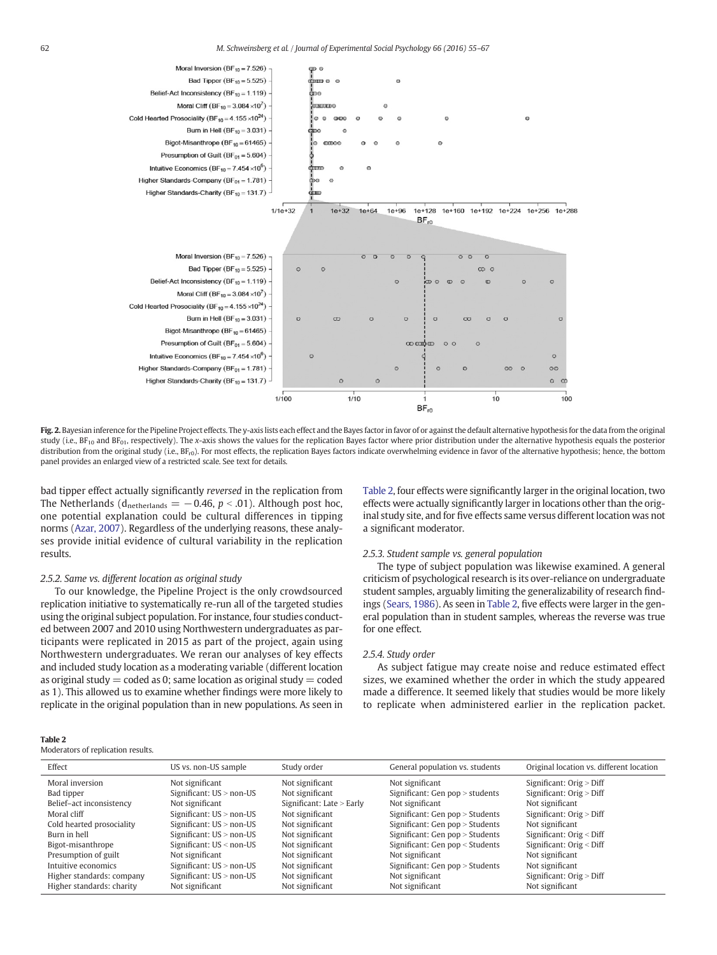<span id="page-7-0"></span>

Fig. 2. Bayesian inference for the Pipeline Project effects. The y-axis lists each effect and the Bayes factor in favor of or against the default alternative hypothesis for the data from the original study (i.e.,  $BF_{10}$  and  $BF_{01}$ , respectively). The x-axis shows the values for the replication Bayes factor where prior distribution under the alternative hypothesis equals the posterior distribution from the original study (i.e., BF<sub>r0</sub>). For most effects, the replication Bayes factors indicate overwhelming evidence in favor of the alternative hypothesis; hence, the bottom panel provides an enlarged view of a restricted scale. See text for details.

bad tipper effect actually significantly reversed in the replication from The Netherlands ( $d_{\text{netherlands}} = -0.46$ ,  $p < .01$ ). Although post hoc, one potential explanation could be cultural differences in tipping norms [\(Azar, 2007\)](#page-11-0). Regardless of the underlying reasons, these analyses provide initial evidence of cultural variability in the replication results.

#### 2.5.2. Same vs. different location as original study

To our knowledge, the Pipeline Project is the only crowdsourced replication initiative to systematically re-run all of the targeted studies using the original subject population. For instance, four studies conducted between 2007 and 2010 using Northwestern undergraduates as participants were replicated in 2015 as part of the project, again using Northwestern undergraduates. We reran our analyses of key effects and included study location as a moderating variable (different location as original study  $=$  coded as 0; same location as original study  $=$  coded as 1). This allowed us to examine whether findings were more likely to replicate in the original population than in new populations. As seen in

| Table 2, four effects were significantly larger in the original location, two |
|-------------------------------------------------------------------------------|
| effects were actually significantly larger in locations other than the orig-  |
| inal study site, and for five effects same versus different location was not  |
| a significant moderator.                                                      |

#### 2.5.3. Student sample vs. general population

The type of subject population was likewise examined. A general criticism of psychological research is its over-reliance on undergraduate student samples, arguably limiting the generalizability of research findings [\(Sears, 1986](#page-12-0)). As seen in Table 2, five effects were larger in the general population than in student samples, whereas the reverse was true for one effect.

#### 2.5.4. Study order

As subject fatigue may create noise and reduce estimated effect sizes, we examined whether the order in which the study appeared made a difference. It seemed likely that studies would be more likely to replicate when administered earlier in the replication packet.

|--|--|--|--|

Moderators of replication results.

| Effect                    | US vs. non-US sample       | Study order                 | General population vs. students | Original location vs. different location |
|---------------------------|----------------------------|-----------------------------|---------------------------------|------------------------------------------|
| Moral inversion           | Not significant            | Not significant             | Not significant                 | Significant: $Orig > Diff$               |
| Bad tipper                | Significant: $US >$ non-US | Not significant             | Significant: Gen pop > students | Significant: $Orig > Diff$               |
| Belief-act inconsistency  | Not significant            | Significant: Late $>$ Early | Not significant                 | Not significant                          |
| Moral cliff               | Significant: $US >$ non-US | Not significant             | Significant: Gen pop > Students | Significant: $Orig > Diff$               |
| Cold hearted prosociality | Significant: $US >$ non-US | Not significant             | Significant: Gen pop > Students | Not significant                          |
| Burn in hell              | Significant: $US >$ non-US | Not significant             | Significant: Gen pop > Students | Significant: $Orig <$ Diff               |
| Bigot-misanthrope         | Significant: $US <$ non-US | Not significant             | Significant: Gen pop < Students | Significant: $Orig <$ Diff               |
| Presumption of guilt      | Not significant            | Not significant             | Not significant                 | Not significant                          |
| Intuitive economics       | Significant: $US >$ non-US | Not significant             | Significant: Gen pop > Students | Not significant                          |
| Higher standards: company | Significant: $US >$ non-US | Not significant             | Not significant                 | Significant: $Orig > Diff$               |
| Higher standards: charity | Not significant            | Not significant             | Not significant                 | Not significant                          |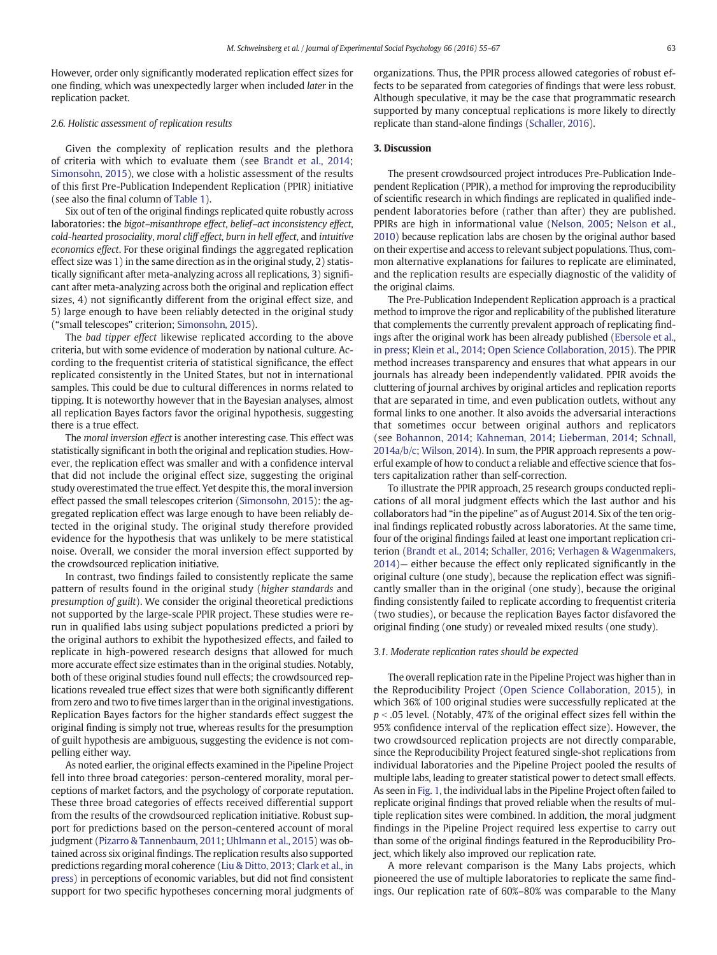However, order only significantly moderated replication effect sizes for one finding, which was unexpectedly larger when included later in the replication packet.

#### 2.6. Holistic assessment of replication results

Given the complexity of replication results and the plethora of criteria with which to evaluate them (see [Brandt et al., 2014;](#page-11-0) [Simonsohn, 2015\)](#page-12-0), we close with a holistic assessment of the results of this first Pre-Publication Independent Replication (PPIR) initiative (see also the final column of [Table 1\)](#page-5-0).

Six out of ten of the original findings replicated quite robustly across laboratories: the bigot–misanthrope effect, belief–act inconsistency effect, cold-hearted prosociality, moral cliff effect, burn in hell effect, and intuitive economics effect. For these original findings the aggregated replication effect size was 1) in the same direction as in the original study, 2) statistically significant after meta-analyzing across all replications, 3) significant after meta-analyzing across both the original and replication effect sizes, 4) not significantly different from the original effect size, and 5) large enough to have been reliably detected in the original study ("small telescopes" criterion; [Simonsohn, 2015\)](#page-12-0).

The bad tipper effect likewise replicated according to the above criteria, but with some evidence of moderation by national culture. According to the frequentist criteria of statistical significance, the effect replicated consistently in the United States, but not in international samples. This could be due to cultural differences in norms related to tipping. It is noteworthy however that in the Bayesian analyses, almost all replication Bayes factors favor the original hypothesis, suggesting there is a true effect.

The moral inversion effect is another interesting case. This effect was statistically significant in both the original and replication studies. However, the replication effect was smaller and with a confidence interval that did not include the original effect size, suggesting the original study overestimated the true effect. Yet despite this, the moral inversion effect passed the small telescopes criterion [\(Simonsohn, 2015](#page-12-0)): the aggregated replication effect was large enough to have been reliably detected in the original study. The original study therefore provided evidence for the hypothesis that was unlikely to be mere statistical noise. Overall, we consider the moral inversion effect supported by the crowdsourced replication initiative.

In contrast, two findings failed to consistently replicate the same pattern of results found in the original study (higher standards and presumption of guilt). We consider the original theoretical predictions not supported by the large-scale PPIR project. These studies were rerun in qualified labs using subject populations predicted a priori by the original authors to exhibit the hypothesized effects, and failed to replicate in high-powered research designs that allowed for much more accurate effect size estimates than in the original studies. Notably, both of these original studies found null effects; the crowdsourced replications revealed true effect sizes that were both significantly different from zero and two to five times larger than in the original investigations. Replication Bayes factors for the higher standards effect suggest the original finding is simply not true, whereas results for the presumption of guilt hypothesis are ambiguous, suggesting the evidence is not compelling either way.

As noted earlier, the original effects examined in the Pipeline Project fell into three broad categories: person-centered morality, moral perceptions of market factors, and the psychology of corporate reputation. These three broad categories of effects received differential support from the results of the crowdsourced replication initiative. Robust support for predictions based on the person-centered account of moral judgment [\(Pizarro & Tannenbaum, 2011;](#page-12-0) [Uhlmann et al., 2015\)](#page-12-0) was obtained across six original findings. The replication results also supported predictions regarding moral coherence [\(Liu & Ditto, 2013](#page-11-0); [Clark et al., in](#page-11-0) [press](#page-11-0)) in perceptions of economic variables, but did not find consistent support for two specific hypotheses concerning moral judgments of organizations. Thus, the PPIR process allowed categories of robust effects to be separated from categories of findings that were less robust. Although speculative, it may be the case that programmatic research supported by many conceptual replications is more likely to directly replicate than stand-alone findings ([Schaller, 2016](#page-12-0)).

#### 3. Discussion

The present crowdsourced project introduces Pre-Publication Independent Replication (PPIR), a method for improving the reproducibility of scientific research in which findings are replicated in qualified independent laboratories before (rather than after) they are published. PPIRs are high in informational value [\(Nelson, 2005;](#page-12-0) [Nelson et al.,](#page-12-0) [2010](#page-12-0)) because replication labs are chosen by the original author based on their expertise and access to relevant subject populations. Thus, common alternative explanations for failures to replicate are eliminated, and the replication results are especially diagnostic of the validity of the original claims.

The Pre-Publication Independent Replication approach is a practical method to improve the rigor and replicability of the published literature that complements the currently prevalent approach of replicating findings after the original work has been already published ([Ebersole et al.,](#page-11-0) [in press;](#page-11-0) [Klein et al., 2014;](#page-11-0) [Open Science Collaboration, 2015\)](#page-12-0). The PPIR method increases transparency and ensures that what appears in our journals has already been independently validated. PPIR avoids the cluttering of journal archives by original articles and replication reports that are separated in time, and even publication outlets, without any formal links to one another. It also avoids the adversarial interactions that sometimes occur between original authors and replicators (see [Bohannon, 2014;](#page-11-0) [Kahneman, 2014;](#page-11-0) [Lieberman, 2014](#page-11-0); [Schnall,](#page-12-0) [2014a/b/c;](#page-12-0) [Wilson, 2014\)](#page-12-0). In sum, the PPIR approach represents a powerful example of how to conduct a reliable and effective science that fosters capitalization rather than self-correction.

To illustrate the PPIR approach, 25 research groups conducted replications of all moral judgment effects which the last author and his collaborators had "in the pipeline" as of August 2014. Six of the ten original findings replicated robustly across laboratories. At the same time, four of the original findings failed at least one important replication criterion ([Brandt et al., 2014;](#page-11-0) [Schaller, 2016;](#page-12-0) [Verhagen & Wagenmakers,](#page-12-0) [2014\)](#page-12-0)— either because the effect only replicated significantly in the original culture (one study), because the replication effect was significantly smaller than in the original (one study), because the original finding consistently failed to replicate according to frequentist criteria (two studies), or because the replication Bayes factor disfavored the original finding (one study) or revealed mixed results (one study).

#### 3.1. Moderate replication rates should be expected

The overall replication rate in the Pipeline Project was higher than in the Reproducibility Project ([Open Science Collaboration, 2015\)](#page-12-0), in which 36% of 100 original studies were successfully replicated at the  $p < .05$  level. (Notably, 47% of the original effect sizes fell within the 95% confidence interval of the replication effect size). However, the two crowdsourced replication projects are not directly comparable, since the Reproducibility Project featured single-shot replications from individual laboratories and the Pipeline Project pooled the results of multiple labs, leading to greater statistical power to detect small effects. As seen in [Fig. 1](#page-4-0), the individual labs in the Pipeline Project often failed to replicate original findings that proved reliable when the results of multiple replication sites were combined. In addition, the moral judgment findings in the Pipeline Project required less expertise to carry out than some of the original findings featured in the Reproducibility Project, which likely also improved our replication rate.

A more relevant comparison is the Many Labs projects, which pioneered the use of multiple laboratories to replicate the same findings. Our replication rate of 60%–80% was comparable to the Many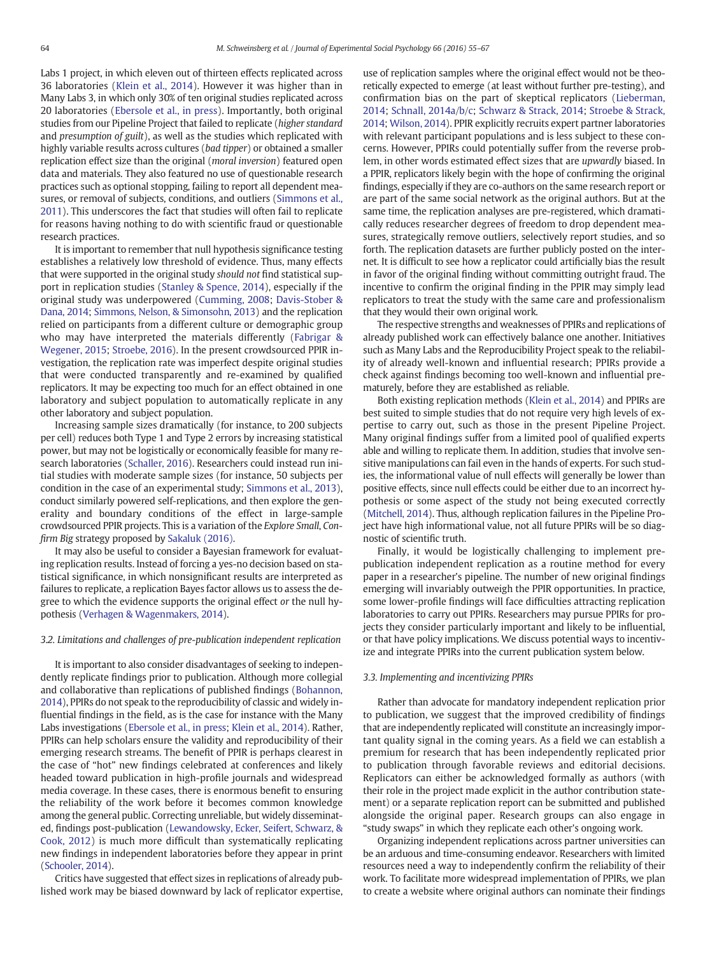Labs 1 project, in which eleven out of thirteen effects replicated across 36 laboratories [\(Klein et al., 2014](#page-11-0)). However it was higher than in Many Labs 3, in which only 30% of ten original studies replicated across 20 laboratories ([Ebersole et al., in press\)](#page-11-0). Importantly, both original studies from our Pipeline Project that failed to replicate (higher standard and presumption of guilt), as well as the studies which replicated with highly variable results across cultures (bad tipper) or obtained a smaller replication effect size than the original (moral inversion) featured open data and materials. They also featured no use of questionable research practices such as optional stopping, failing to report all dependent measures, or removal of subjects, conditions, and outliers [\(Simmons et al.,](#page-12-0) [2011\)](#page-12-0). This underscores the fact that studies will often fail to replicate for reasons having nothing to do with scientific fraud or questionable research practices.

It is important to remember that null hypothesis significance testing establishes a relatively low threshold of evidence. Thus, many effects that were supported in the original study should not find statistical support in replication studies [\(Stanley & Spence, 2014\)](#page-12-0), especially if the original study was underpowered [\(Cumming, 2008](#page-11-0); [Davis-Stober &](#page-11-0) [Dana, 2014;](#page-11-0) [Simmons, Nelson, & Simonsohn, 2013](#page-12-0)) and the replication relied on participants from a different culture or demographic group who may have interpreted the materials differently ([Fabrigar &](#page-11-0) [Wegener, 2015;](#page-11-0) [Stroebe, 2016\)](#page-12-0). In the present crowdsourced PPIR investigation, the replication rate was imperfect despite original studies that were conducted transparently and re-examined by qualified replicators. It may be expecting too much for an effect obtained in one laboratory and subject population to automatically replicate in any other laboratory and subject population.

Increasing sample sizes dramatically (for instance, to 200 subjects per cell) reduces both Type 1 and Type 2 errors by increasing statistical power, but may not be logistically or economically feasible for many research laboratories ([Schaller, 2016](#page-12-0)). Researchers could instead run initial studies with moderate sample sizes (for instance, 50 subjects per condition in the case of an experimental study; [Simmons et al., 2013\)](#page-12-0), conduct similarly powered self-replications, and then explore the generality and boundary conditions of the effect in large-sample crowdsourced PPIR projects. This is a variation of the Explore Small, Confirm Big strategy proposed by [Sakaluk \(2016\).](#page-12-0)

It may also be useful to consider a Bayesian framework for evaluating replication results. Instead of forcing a yes-no decision based on statistical significance, in which nonsignificant results are interpreted as failures to replicate, a replication Bayes factor allows us to assess the degree to which the evidence supports the original effect or the null hypothesis ([Verhagen & Wagenmakers, 2014](#page-12-0)).

#### 3.2. Limitations and challenges of pre-publication independent replication

It is important to also consider disadvantages of seeking to independently replicate findings prior to publication. Although more collegial and collaborative than replications of published findings ([Bohannon,](#page-11-0) [2014\)](#page-11-0), PPIRs do not speak to the reproducibility of classic and widely influential findings in the field, as is the case for instance with the Many Labs investigations ([Ebersole et al., in press;](#page-11-0) [Klein et al., 2014](#page-11-0)). Rather, PPIRs can help scholars ensure the validity and reproducibility of their emerging research streams. The benefit of PPIR is perhaps clearest in the case of "hot" new findings celebrated at conferences and likely headed toward publication in high-profile journals and widespread media coverage. In these cases, there is enormous benefit to ensuring the reliability of the work before it becomes common knowledge among the general public. Correcting unreliable, but widely disseminated, findings post-publication ([Lewandowsky, Ecker, Seifert, Schwarz, &](#page-11-0) [Cook, 2012\)](#page-11-0) is much more difficult than systematically replicating new findings in independent laboratories before they appear in print [\(Schooler, 2014](#page-12-0)).

Critics have suggested that effect sizes in replications of already published work may be biased downward by lack of replicator expertise, use of replication samples where the original effect would not be theoretically expected to emerge (at least without further pre-testing), and confirmation bias on the part of skeptical replicators ([Lieberman,](#page-11-0) [2014](#page-11-0); [Schnall, 2014a/b/c;](#page-12-0) [Schwarz & Strack, 2014;](#page-12-0) [Stroebe & Strack,](#page-12-0) [2014;](#page-12-0) [Wilson, 2014](#page-12-0)). PPIR explicitly recruits expert partner laboratories with relevant participant populations and is less subject to these concerns. However, PPIRs could potentially suffer from the reverse problem, in other words estimated effect sizes that are upwardly biased. In a PPIR, replicators likely begin with the hope of confirming the original findings, especially if they are co-authors on the same research report or are part of the same social network as the original authors. But at the same time, the replication analyses are pre-registered, which dramatically reduces researcher degrees of freedom to drop dependent measures, strategically remove outliers, selectively report studies, and so forth. The replication datasets are further publicly posted on the internet. It is difficult to see how a replicator could artificially bias the result in favor of the original finding without committing outright fraud. The incentive to confirm the original finding in the PPIR may simply lead replicators to treat the study with the same care and professionalism that they would their own original work.

The respective strengths and weaknesses of PPIRs and replications of already published work can effectively balance one another. Initiatives such as Many Labs and the Reproducibility Project speak to the reliability of already well-known and influential research; PPIRs provide a check against findings becoming too well-known and influential prematurely, before they are established as reliable.

Both existing replication methods ([Klein et al., 2014\)](#page-11-0) and PPIRs are best suited to simple studies that do not require very high levels of expertise to carry out, such as those in the present Pipeline Project. Many original findings suffer from a limited pool of qualified experts able and willing to replicate them. In addition, studies that involve sensitive manipulations can fail even in the hands of experts. For such studies, the informational value of null effects will generally be lower than positive effects, since null effects could be either due to an incorrect hypothesis or some aspect of the study not being executed correctly [\(Mitchell, 2014\)](#page-12-0). Thus, although replication failures in the Pipeline Project have high informational value, not all future PPIRs will be so diagnostic of scientific truth.

Finally, it would be logistically challenging to implement prepublication independent replication as a routine method for every paper in a researcher's pipeline. The number of new original findings emerging will invariably outweigh the PPIR opportunities. In practice, some lower-profile findings will face difficulties attracting replication laboratories to carry out PPIRs. Researchers may pursue PPIRs for projects they consider particularly important and likely to be influential, or that have policy implications. We discuss potential ways to incentivize and integrate PPIRs into the current publication system below.

#### 3.3. Implementing and incentivizing PPIRs

Rather than advocate for mandatory independent replication prior to publication, we suggest that the improved credibility of findings that are independently replicated will constitute an increasingly important quality signal in the coming years. As a field we can establish a premium for research that has been independently replicated prior to publication through favorable reviews and editorial decisions. Replicators can either be acknowledged formally as authors (with their role in the project made explicit in the author contribution statement) or a separate replication report can be submitted and published alongside the original paper. Research groups can also engage in "study swaps" in which they replicate each other's ongoing work.

Organizing independent replications across partner universities can be an arduous and time-consuming endeavor. Researchers with limited resources need a way to independently confirm the reliability of their work. To facilitate more widespread implementation of PPIRs, we plan to create a website where original authors can nominate their findings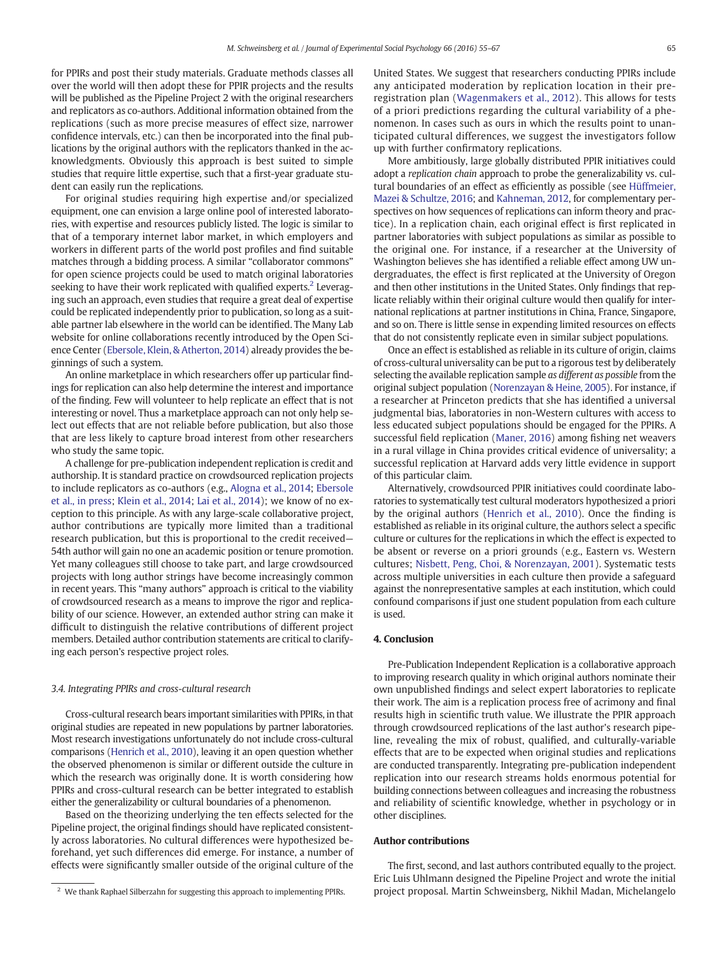for PPIRs and post their study materials. Graduate methods classes all over the world will then adopt these for PPIR projects and the results will be published as the Pipeline Project 2 with the original researchers and replicators as co-authors. Additional information obtained from the replications (such as more precise measures of effect size, narrower confidence intervals, etc.) can then be incorporated into the final publications by the original authors with the replicators thanked in the acknowledgments. Obviously this approach is best suited to simple studies that require little expertise, such that a first-year graduate student can easily run the replications.

For original studies requiring high expertise and/or specialized equipment, one can envision a large online pool of interested laboratories, with expertise and resources publicly listed. The logic is similar to that of a temporary internet labor market, in which employers and workers in different parts of the world post profiles and find suitable matches through a bidding process. A similar "collaborator commons" for open science projects could be used to match original laboratories seeking to have their work replicated with qualified experts.<sup>2</sup> Leveraging such an approach, even studies that require a great deal of expertise could be replicated independently prior to publication, so long as a suitable partner lab elsewhere in the world can be identified. The Many Lab website for online collaborations recently introduced by the Open Science Center [\(Ebersole, Klein, & Atherton, 2014\)](#page-11-0) already provides the beginnings of such a system.

An online marketplace in which researchers offer up particular findings for replication can also help determine the interest and importance of the finding. Few will volunteer to help replicate an effect that is not interesting or novel. Thus a marketplace approach can not only help select out effects that are not reliable before publication, but also those that are less likely to capture broad interest from other researchers who study the same topic.

A challenge for pre-publication independent replication is credit and authorship. It is standard practice on crowdsourced replication projects to include replicators as co-authors (e.g., [Alogna et al., 2014](#page-11-0); [Ebersole](#page-11-0) [et al., in press;](#page-11-0) [Klein et al., 2014;](#page-11-0) [Lai et al., 2014](#page-11-0)); we know of no exception to this principle. As with any large-scale collaborative project, author contributions are typically more limited than a traditional research publication, but this is proportional to the credit received— 54th author will gain no one an academic position or tenure promotion. Yet many colleagues still choose to take part, and large crowdsourced projects with long author strings have become increasingly common in recent years. This "many authors" approach is critical to the viability of crowdsourced research as a means to improve the rigor and replicability of our science. However, an extended author string can make it difficult to distinguish the relative contributions of different project members. Detailed author contribution statements are critical to clarifying each person's respective project roles.

#### 3.4. Integrating PPIRs and cross-cultural research

Cross-cultural research bears important similarities with PPIRs, in that original studies are repeated in new populations by partner laboratories. Most research investigations unfortunately do not include cross-cultural comparisons [\(Henrich et al., 2010\)](#page-11-0), leaving it an open question whether the observed phenomenon is similar or different outside the culture in which the research was originally done. It is worth considering how PPIRs and cross-cultural research can be better integrated to establish either the generalizability or cultural boundaries of a phenomenon.

Based on the theorizing underlying the ten effects selected for the Pipeline project, the original findings should have replicated consistently across laboratories. No cultural differences were hypothesized beforehand, yet such differences did emerge. For instance, a number of effects were significantly smaller outside of the original culture of the

United States. We suggest that researchers conducting PPIRs include any anticipated moderation by replication location in their preregistration plan ([Wagenmakers et al., 2012\)](#page-12-0). This allows for tests of a priori predictions regarding the cultural variability of a phenomenon. In cases such as ours in which the results point to unanticipated cultural differences, we suggest the investigators follow up with further confirmatory replications.

More ambitiously, large globally distributed PPIR initiatives could adopt a replication chain approach to probe the generalizability vs. cultural boundaries of an effect as efficiently as possible (see [Hüffmeier,](#page-11-0) [Mazei & Schultze, 2016;](#page-11-0) and [Kahneman, 2012,](#page-11-0) for complementary perspectives on how sequences of replications can inform theory and practice). In a replication chain, each original effect is first replicated in partner laboratories with subject populations as similar as possible to the original one. For instance, if a researcher at the University of Washington believes she has identified a reliable effect among UW undergraduates, the effect is first replicated at the University of Oregon and then other institutions in the United States. Only findings that replicate reliably within their original culture would then qualify for international replications at partner institutions in China, France, Singapore, and so on. There is little sense in expending limited resources on effects that do not consistently replicate even in similar subject populations.

Once an effect is established as reliable in its culture of origin, claims of cross-cultural universality can be put to a rigorous test by deliberately selecting the available replication sample as different as possible from the original subject population [\(Norenzayan & Heine, 2005\)](#page-12-0). For instance, if a researcher at Princeton predicts that she has identified a universal judgmental bias, laboratories in non-Western cultures with access to less educated subject populations should be engaged for the PPIRs. A successful field replication ([Maner, 2016\)](#page-12-0) among fishing net weavers in a rural village in China provides critical evidence of universality; a successful replication at Harvard adds very little evidence in support of this particular claim.

Alternatively, crowdsourced PPIR initiatives could coordinate laboratories to systematically test cultural moderators hypothesized a priori by the original authors ([Henrich et al., 2010](#page-11-0)). Once the finding is established as reliable in its original culture, the authors select a specific culture or cultures for the replications in which the effect is expected to be absent or reverse on a priori grounds (e.g., Eastern vs. Western cultures; [Nisbett, Peng, Choi, & Norenzayan, 2001](#page-12-0)). Systematic tests across multiple universities in each culture then provide a safeguard against the nonrepresentative samples at each institution, which could confound comparisons if just one student population from each culture is used.

#### 4. Conclusion

Pre-Publication Independent Replication is a collaborative approach to improving research quality in which original authors nominate their own unpublished findings and select expert laboratories to replicate their work. The aim is a replication process free of acrimony and final results high in scientific truth value. We illustrate the PPIR approach through crowdsourced replications of the last author's research pipeline, revealing the mix of robust, qualified, and culturally-variable effects that are to be expected when original studies and replications are conducted transparently. Integrating pre-publication independent replication into our research streams holds enormous potential for building connections between colleagues and increasing the robustness and reliability of scientific knowledge, whether in psychology or in other disciplines.

### Author contributions

The first, second, and last authors contributed equally to the project. Eric Luis Uhlmann designed the Pipeline Project and wrote the initial <sup>2</sup> We thank Raphael Silberzahn for suggesting this approach to implementing PPIRs. project proposal. Martin Schweinsberg, Nikhil Madan, Michelangelo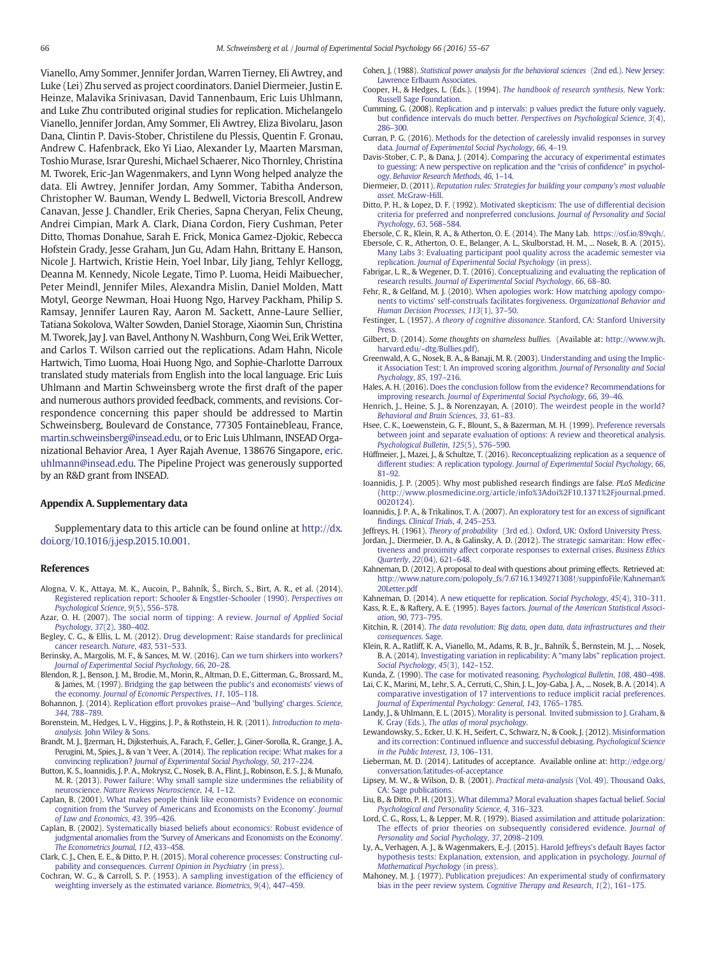<span id="page-11-0"></span>Vianello, Amy Sommer, Jennifer Jordan, Warren Tierney, Eli Awtrey, and Luke (Lei) Zhu served as project coordinators. Daniel Diermeier, Justin E. Heinze, Malavika Srinivasan, David Tannenbaum, Eric Luis Uhlmann, and Luke Zhu contributed original studies for replication. Michelangelo Vianello, Jennifer Jordan, Amy Sommer, Eli Awtrey, Eliza Bivolaru, Jason Dana, Clintin P. Davis-Stober, Christilene du Plessis, Quentin F. Gronau, Andrew C. Hafenbrack, Eko Yi Liao, Alexander Ly, Maarten Marsman, Toshio Murase, Israr Qureshi, Michael Schaerer, Nico Thornley, Christina M. Tworek, Eric-Jan Wagenmakers, and Lynn Wong helped analyze the data. Eli Awtrey, Jennifer Jordan, Amy Sommer, Tabitha Anderson, Christopher W. Bauman, Wendy L. Bedwell, Victoria Brescoll, Andrew Canavan, Jesse J. Chandler, Erik Cheries, Sapna Cheryan, Felix Cheung, Andrei Cimpian, Mark A. Clark, Diana Cordon, Fiery Cushman, Peter Ditto, Thomas Donahue, Sarah E. Frick, Monica Gamez-Djokic, Rebecca Hofstein Grady, Jesse Graham, Jun Gu, Adam Hahn, Brittany E. Hanson, Nicole J. Hartwich, Kristie Hein, Yoel Inbar, Lily Jiang, Tehlyr Kellogg, Deanna M. Kennedy, Nicole Legate, Timo P. Luoma, Heidi Maibuecher, Peter Meindl, Jennifer Miles, Alexandra Mislin, Daniel Molden, Matt Motyl, George Newman, Hoai Huong Ngo, Harvey Packham, Philip S. Ramsay, Jennifer Lauren Ray, Aaron M. Sackett, Anne-Laure Sellier, Tatiana Sokolova, Walter Sowden, Daniel Storage, Xiaomin Sun, Christina M. Tworek, Jay J. van Bavel, Anthony N. Washburn, Cong Wei, Erik Wetter, and Carlos T. Wilson carried out the replications. Adam Hahn, Nicole Hartwich, Timo Luoma, Hoai Huong Ngo, and Sophie-Charlotte Darroux translated study materials from English into the local language. Eric Luis Uhlmann and Martin Schweinsberg wrote the first draft of the paper and numerous authors provided feedback, comments, and revisions. Correspondence concerning this paper should be addressed to Martin Schweinsberg, Boulevard de Constance, 77305 Fontainebleau, France, [martin.schweinsberg@insead.edu](mailto:martin.schweinsberg@insead.edu), or to Eric Luis Uhlmann, INSEAD Organizational Behavior Area, 1 Ayer Rajah Avenue, 138676 Singapore, [eric.](mailto:eric.uhlmann@insead.edu) [uhlmann@insead.edu](mailto:eric.uhlmann@insead.edu). The Pipeline Project was generously supported by an R&D grant from INSEAD.

#### Appendix A. Supplementary data

Supplementary data to this article can be found online at [http://dx.](http://dx.doi.org/10.1016/j.jesp.2015.10.001) [doi.org/10.1016/j.jesp.2015.10.001](http://dx.doi.org/10.1016/j.jesp.2015.10.001).

#### **References**

- Alogna, V. K., Attaya, M. K., Aucoin, P., Bahník, Š., Birch, S., Birt, A. R., et al. (2014). [Registered replication report: Schooler & Engstler-Schooler \(1990\).](http://refhub.elsevier.com/S0022-1031(15)30001-9/rf8000) Perspectives on [Psychological Science](http://refhub.elsevier.com/S0022-1031(15)30001-9/rf8000), 9(5), 556–578.
- Azar, O. H. (2007). [The social norm of tipping: A review.](http://refhub.elsevier.com/S0022-1031(15)30001-9/rf0005) Journal of Applied Social [Psychology](http://refhub.elsevier.com/S0022-1031(15)30001-9/rf0005), 37(2), 380–402.
- Begley, C. G., & Ellis, L. M. (2012). [Drug development: Raise standards for preclinical](http://refhub.elsevier.com/S0022-1031(15)30001-9/rf0010) [cancer research.](http://refhub.elsevier.com/S0022-1031(15)30001-9/rf0010) Nature, 483, 531–533.
- Berinsky, A., Margolis, M. F., & Sances, M. W. (2016). [Can we turn shirkers into workers?](http://refhub.elsevier.com/S0022-1031(15)30001-9/rf0015) [Journal of Experimental Social Psychology](http://refhub.elsevier.com/S0022-1031(15)30001-9/rf0015), 66, 20–28.
- Blendon, R. J., Benson, J. M., Brodie, M., Morin, R., Altman, D. E., Gitterman, G., Brossard, M., & James, M. (1997). [Bridging the gap between the public's and economists' views of](http://refhub.elsevier.com/S0022-1031(15)30001-9/rf0020) the economy. [Journal of Economic Perspectives](http://refhub.elsevier.com/S0022-1031(15)30001-9/rf0020), 11, 105–118.
- Bohannon, J. (2014). [Replication effort provokes praise](http://refhub.elsevier.com/S0022-1031(15)30001-9/rf0025)—And 'bullying' charges. Science, 344[, 788](http://refhub.elsevier.com/S0022-1031(15)30001-9/rf0025)–789.
- Borenstein, M., Hedges, L. V., Higgins, J. P., & Rothstein, H. R. (2011). [Introduction to meta](http://refhub.elsevier.com/S0022-1031(15)30001-9/rf0030)analysis. [John Wiley & Sons.](http://refhub.elsevier.com/S0022-1031(15)30001-9/rf0030)
- Brandt, M. J., IJzerman, H., Dijksterhuis, A., Farach, F., Geller, J., Giner-Sorolla, R., Grange, J. A., Perugini, M., Spies, J., & van 't Veer, A. (2014). [The replication recipe: What makes for a](http://refhub.elsevier.com/S0022-1031(15)30001-9/rf0035) convincing replication? [Journal of Experimental Social Psychology](http://refhub.elsevier.com/S0022-1031(15)30001-9/rf0035), 50, 217–224.
- Button, K. S., Ioannidis, J. P. A., Mokrysz, C., Nosek, B. A., Flint, J., Robinson, E. S. J., & Munafo, M. R. (2013). [Power failure: Why small sample size undermines the reliability of](http://refhub.elsevier.com/S0022-1031(15)30001-9/rf0040) neuroscience. [Nature Reviews Neuroscience](http://refhub.elsevier.com/S0022-1031(15)30001-9/rf0040), 14, 1–12.
- Caplan, B. (2001). [What makes people think like economists? Evidence on economic](http://refhub.elsevier.com/S0022-1031(15)30001-9/rf0045) cognition from the '[Survey of Americans and Economists on the Economy](http://refhub.elsevier.com/S0022-1031(15)30001-9/rf0045)'. Journal [of Law and Economics](http://refhub.elsevier.com/S0022-1031(15)30001-9/rf0045), 43, 395–426.
- Caplan, B. (2002). [Systematically biased beliefs about economics: Robust evidence of](http://refhub.elsevier.com/S0022-1031(15)30001-9/rf0050) judgmental anomalies from the '[Survey of Americans and Economists on the Economy'.](http://refhub.elsevier.com/S0022-1031(15)30001-9/rf0050) [The Econometrics Journal](http://refhub.elsevier.com/S0022-1031(15)30001-9/rf0050), 112, 433–458.
- Clark, C. J., Chen, E. E., & Ditto, P. H. (2015). [Moral coherence processes: Constructing cul](http://refhub.elsevier.com/S0022-1031(15)30001-9/rf0055)pability and consequences. [Current Opinion in Psychiatry](http://refhub.elsevier.com/S0022-1031(15)30001-9/rf0055) (in press).
- Cochran, W. G., & Carroll, S. P. (1953). [A sampling investigation of the ef](http://refhub.elsevier.com/S0022-1031(15)30001-9/rf0060)ficiency of [weighting inversely as the estimated variance.](http://refhub.elsevier.com/S0022-1031(15)30001-9/rf0060) Biometrics, 9(4), 447–459.
- Cohen, J. (1988). [Statistical power analysis for the behavioral sciences](http://refhub.elsevier.com/S0022-1031(15)30001-9/rf0065) (2nd ed.). New Jersey: [Lawrence Erlbaum Associates.](http://refhub.elsevier.com/S0022-1031(15)30001-9/rf0065)
- Cooper, H., & Hedges, L. (Eds.). (1994). [The handbook of research synthesis](http://refhub.elsevier.com/S0022-1031(15)30001-9/rf0070). New York: [Russell Sage Foundation.](http://refhub.elsevier.com/S0022-1031(15)30001-9/rf0070)
- Cumming, G. (2008). [Replication and p intervals: p values predict the future only vaguely,](http://refhub.elsevier.com/S0022-1031(15)30001-9/rf0075) but confidence intervals do much better. [Perspectives on Psychological Science](http://refhub.elsevier.com/S0022-1031(15)30001-9/rf0075), 3(4), 286–[300.](http://refhub.elsevier.com/S0022-1031(15)30001-9/rf0075)
- Curran, P. G. (2016). [Methods for the detection of carelessly invalid responses in survey](http://refhub.elsevier.com/S0022-1031(15)30001-9/rf0080) data. [Journal of Experimental Social Psychology](http://refhub.elsevier.com/S0022-1031(15)30001-9/rf0080), 66, 4–19.
- Davis-Stober, C. P., & Dana, J. (2014). [Comparing the accuracy of experimental estimates](http://refhub.elsevier.com/S0022-1031(15)30001-9/rf0085) [to guessing: A new perspective on replication and the](http://refhub.elsevier.com/S0022-1031(15)30001-9/rf0085) "crisis of confidence" in psychology. [Behavior Research Methods](http://refhub.elsevier.com/S0022-1031(15)30001-9/rf0085), 46, 1–14.
- Diermeier, D. (2011). [Reputation rules: Strategies for building your company's most valuable](http://refhub.elsevier.com/S0022-1031(15)30001-9/rf0090) asset. [McGraw-Hill.](http://refhub.elsevier.com/S0022-1031(15)30001-9/rf0090)
- Ditto, P. H., & Lopez, D. F. (1992). [Motivated skepticism: The use of differential decision](http://refhub.elsevier.com/S0022-1031(15)30001-9/rf0095) [criteria for preferred and nonpreferred conclusions.](http://refhub.elsevier.com/S0022-1031(15)30001-9/rf0095) Journal of Personality and Social [Psychology](http://refhub.elsevier.com/S0022-1031(15)30001-9/rf0095), 63, 568–584.
- Ebersole, C. R., Klein, R. A., & Atherton, O. E. (2014). The Many Lab. [https://osf.io/89vqh/](https://www.osf.io/89vqh/).
- Ebersole, C. R., Atherton, O. E., Belanger, A. L., Skulborstad, H. M., ... Nosek, B. A. (2015). [Many Labs 3: Evaluating participant pool quality across the academic semester via](http://refhub.elsevier.com/S0022-1031(15)30001-9/rf0105) replication. [Journal of Experimental Social Psychology](http://refhub.elsevier.com/S0022-1031(15)30001-9/rf0105) (in press).
- Fabrigar, L. R., & Wegener, D. T. (2016). [Conceptualizing and evaluating the replication of](http://refhub.elsevier.com/S0022-1031(15)30001-9/rf0110) research results. [Journal of Experimental Social Psychology](http://refhub.elsevier.com/S0022-1031(15)30001-9/rf0110), 66, 68–80.
- Fehr, R., & Gelfand, M. J. (2010). [When apologies work: How matching apology compo](http://refhub.elsevier.com/S0022-1031(15)30001-9/rf0115)[nents to victims' self-construals facilitates forgiveness.](http://refhub.elsevier.com/S0022-1031(15)30001-9/rf0115) Organizational Behavior and [Human Decision Processes](http://refhub.elsevier.com/S0022-1031(15)30001-9/rf0115), 113(1), 37–50.
- Festinger, L. (1957). A theory of cognitive dissonance. [Stanford, CA: Stanford University](http://refhub.elsevier.com/S0022-1031(15)30001-9/rf0120) **Press**
- Gilbert, D. (2014). Some thoughts on shameless bullies. (Available at: [http://www.wjh.](http://www.wjh.harvard.edu/~dtg/Bullies.pdf) [harvard.edu/~dtg/Bullies.pdf](http://www.wjh.harvard.edu/~dtg/Bullies.pdf)).
- Greenwald, A. G., Nosek, B. A., & Banaji, M. R. (2003). [Understanding and using the Implic](http://refhub.elsevier.com/S0022-1031(15)30001-9/rf0135)[it Association Test: I. An improved scoring algorithm.](http://refhub.elsevier.com/S0022-1031(15)30001-9/rf0135) Journal of Personality and Social [Psychology](http://refhub.elsevier.com/S0022-1031(15)30001-9/rf0135), 85, 197–216.
- Hales, A. H. (2016). [Does the conclusion follow from the evidence? Recommendations for](http://refhub.elsevier.com/S0022-1031(15)30001-9/rf0140) improving research. [Journal of Experimental Social Psychology](http://refhub.elsevier.com/S0022-1031(15)30001-9/rf0140), 66, 39–46.
- Henrich, J., Heine, S. J., & Norenzayan, A. (2010). [The weirdest people in the world?](http://refhub.elsevier.com/S0022-1031(15)30001-9/rf0145) [Behavioral and Brain Sciences](http://refhub.elsevier.com/S0022-1031(15)30001-9/rf0145), 33, 61–83.
- Hsee, C. K., Loewenstein, G. F., Blount, S., & Bazerman, M. H. (1999). [Preference reversals](http://refhub.elsevier.com/S0022-1031(15)30001-9/rf0150) [between joint and separate evaluation of options: A review and theoretical analysis.](http://refhub.elsevier.com/S0022-1031(15)30001-9/rf0150) [Psychological Bulletin](http://refhub.elsevier.com/S0022-1031(15)30001-9/rf0150), 125(5), 576–590.
- Hüffmeier, J., Mazei, J., & Schultze, T. (2016). [Reconceptualizing replication as a sequence of](http://refhub.elsevier.com/S0022-1031(15)30001-9/rf0155) [different studies: A replication typology.](http://refhub.elsevier.com/S0022-1031(15)30001-9/rf0155) Journal of Experimental Social Psychology, 66, 81–[92.](http://refhub.elsevier.com/S0022-1031(15)30001-9/rf0155)
- Ioannidis, J. P. (2005). Why most published research findings are false. PLoS Medicine ([http://www.plosmedicine.org/article/info%3Adoi%2F10.1371%2Fjournal.pmed.](http://dx.doi.org/) [0020124\)](http://dx.doi.org/).
- Ioannidis, J. P. A., & Trikalinos, T. A. (2007). [An exploratory test for an excess of signi](http://refhub.elsevier.com/S0022-1031(15)30001-9/rf0165)ficant findings. [Clinical Trials](http://refhub.elsevier.com/S0022-1031(15)30001-9/rf0165), 4, 245–253.
- Jeffreys, H. (1961). Theory of probability [\(3rd ed.\). Oxford, UK: Oxford University Press.](http://refhub.elsevier.com/S0022-1031(15)30001-9/rf0170)

Jordan, J., Diermeier, D. A., & Galinsky, A. D. (2012). [The strategic samaritan: How effec](http://refhub.elsevier.com/S0022-1031(15)30001-9/rf0175)[tiveness and proximity affect corporate responses to external crises.](http://refhub.elsevier.com/S0022-1031(15)30001-9/rf0175) Business Ethics Quarterly, 22[\(04\), 621](http://refhub.elsevier.com/S0022-1031(15)30001-9/rf0175)–648.

- Kahneman, D. (2012). A proposal to deal with questions about priming effects. Retrieved at: [http://www.nature.com/polopoly\\_fs/7.6716.1349271308!/suppinfoFile/Kahneman%](http://www.nature.com/polopoly_fs/7.6716.1349271308!/suppinfoFile/Kahneman%20Letter.pdf) [20Letter.pdf](http://www.nature.com/polopoly_fs/7.6716.1349271308!/suppinfoFile/Kahneman%20Letter.pdf)
- Kahneman, D. (2014). [A new etiquette for replication.](http://refhub.elsevier.com/S0022-1031(15)30001-9/rf0185) Social Psychology, 45(4), 310-311. Kass, R. E., & Raftery, A. E. (1995). Bayes factors. [Journal of the American Statistical Associ-](http://refhub.elsevier.com/S0022-1031(15)30001-9/rf0190)
- ation, 90[, 773](http://refhub.elsevier.com/S0022-1031(15)30001-9/rf0190)–795. Kitchin, R. (2014). [The data revolution: Big data, open data, data infrastructures and their](http://refhub.elsevier.com/S0022-1031(15)30001-9/rf0195) [consequences.](http://refhub.elsevier.com/S0022-1031(15)30001-9/rf0195) Sage.
- Klein, R. A., Ratliff, K. A., Vianello, M., Adams, R. B., Jr., Bahník, Š., Bernstein, M. J., ... Nosek, B. A. (2014). [Investigating variation in replicability: A](http://refhub.elsevier.com/S0022-1031(15)30001-9/rf0200) "many labs" replication project. [Social Psychology](http://refhub.elsevier.com/S0022-1031(15)30001-9/rf0200), 45(3), 142–152.

Kunda, Z. (1990). [The case for motivated reasoning.](http://refhub.elsevier.com/S0022-1031(15)30001-9/rf0205) Psychological Bulletin, 108, 480–498.

- Lai, C. K., Marini, M., Lehr, S. A., Cerruti, C., Shin, J. L., Joy-Gaba, J. A., ... Nosek, B. A. (2014). [A](http://refhub.elsevier.com/S0022-1031(15)30001-9/rf0210) [comparative investigation of 17 interventions to reduce implicit racial preferences.](http://refhub.elsevier.com/S0022-1031(15)30001-9/rf0210) [Journal of Experimental Psychology: General](http://refhub.elsevier.com/S0022-1031(15)30001-9/rf0210), 143, 1765–1785.
- Landy, J., & Uhlmann, E. L. (2015). [Morality is personal. Invited submission to J. Graham, &](http://refhub.elsevier.com/S0022-1031(15)30001-9/rf0215) K. Gray (Eds.), [The atlas of moral psychology](http://refhub.elsevier.com/S0022-1031(15)30001-9/rf0215).
- Lewandowsky, S., Ecker, U. K. H., Seifert, C., Schwarz, N., & Cook, J. (2012). [Misinformation](http://refhub.elsevier.com/S0022-1031(15)30001-9/rf0220) [and its correction: Continued in](http://refhub.elsevier.com/S0022-1031(15)30001-9/rf0220)fluence and successful debiasing. Psychological Science [in the Public Interest](http://refhub.elsevier.com/S0022-1031(15)30001-9/rf0220), 13, 106–131.
- Lieberman, M. D. (2014). Latitudes of acceptance. Available online at: [http://edge.org/](http://edge.org/conversation/latitudes-of-acceptance) [conversation/latitudes-of-acceptance](http://edge.org/conversation/latitudes-of-acceptance)
- Lipsey, M. W., & Wilson, D. B. (2001). Practical meta-analysis [\(Vol. 49\). Thousand Oaks,](http://refhub.elsevier.com/S0022-1031(15)30001-9/rf0230) [CA: Sage publications.](http://refhub.elsevier.com/S0022-1031(15)30001-9/rf0230)
- Liu, B., & Ditto, P. H. (2013). [What dilemma? Moral evaluation shapes factual belief.](http://refhub.elsevier.com/S0022-1031(15)30001-9/rf0235) Social [Psychological and Personality Science](http://refhub.elsevier.com/S0022-1031(15)30001-9/rf0235), 4, 316–323.
- Lord, C. G., Ross, L., & Lepper, M. R. (1979). [Biased assimilation and attitude polarization:](http://refhub.elsevier.com/S0022-1031(15)30001-9/rf0240) [The effects of prior theories on subsequently considered evidence.](http://refhub.elsevier.com/S0022-1031(15)30001-9/rf0240) Journal of [Personality and Social Psychology](http://refhub.elsevier.com/S0022-1031(15)30001-9/rf0240), 37, 2098–2109.
- Ly, A., Verhagen, A. J., & Wagenmakers, E.-J. (2015). [Harold Jeffreys's default Bayes factor](http://refhub.elsevier.com/S0022-1031(15)30001-9/rf0245) [hypothesis tests: Explanation, extension, and application in psychology.](http://refhub.elsevier.com/S0022-1031(15)30001-9/rf0245) Journal of [Mathematical Psychology](http://refhub.elsevier.com/S0022-1031(15)30001-9/rf0245) (in press).
- Mahoney, M. J. (1977). [Publication prejudices: An experimental study of con](http://refhub.elsevier.com/S0022-1031(15)30001-9/rf0250)firmatory [bias in the peer review system.](http://refhub.elsevier.com/S0022-1031(15)30001-9/rf0250) Cognitive Therapy and Research, 1(2), 161–175.